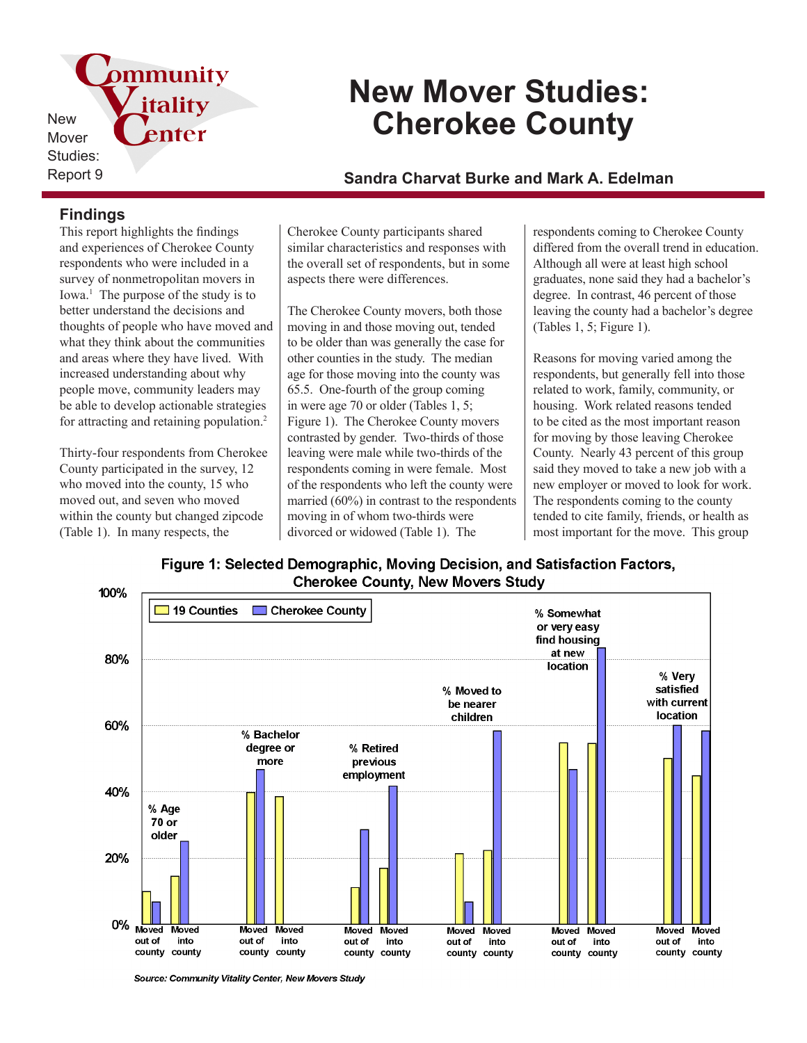pmmunity New Mover Studies:

# **New Mover Studies: Cherokee County**

Report 9 **Sandra Charvat Burke and Mark A. Edelman**

## **Findings**

This report highlights the findings and experiences of Cherokee County respondents who were included in a survey of nonmetropolitan movers in Iowa.<sup>1</sup> The purpose of the study is to better understand the decisions and thoughts of people who have moved and what they think about the communities and areas where they have lived. With increased understanding about why people move, community leaders may be able to develop actionable strategies for attracting and retaining population.<sup>2</sup>

itality

enter

Thirty-four respondents from Cherokee County participated in the survey, 12 who moved into the county, 15 who moved out, and seven who moved within the county but changed zipcode (Table 1). In many respects, the

Cherokee County participants shared similar characteristics and responses with the overall set of respondents, but in some aspects there were differences.

The Cherokee County movers, both those moving in and those moving out, tended to be older than was generally the case for other counties in the study. The median age for those moving into the county was 65.5. One-fourth of the group coming in were age 70 or older (Tables 1, 5; Figure 1). The Cherokee County movers contrasted by gender. Two-thirds of those leaving were male while two-thirds of the respondents coming in were female. Most of the respondents who left the county were married (60%) in contrast to the respondents moving in of whom two-thirds were divorced or widowed (Table 1). The

respondents coming to Cherokee County differed from the overall trend in education. Although all were at least high school graduates, none said they had a bachelor's degree. In contrast, 46 percent of those leaving the county had a bachelor's degree (Tables 1, 5; Figure 1).

Reasons for moving varied among the respondents, but generally fell into those related to work, family, community, or housing. Work related reasons tended to be cited as the most important reason for moving by those leaving Cherokee County. Nearly 43 percent of this group said they moved to take a new job with a new employer or moved to look for work. The respondents coming to the county tended to cite family, friends, or health as most important for the move. This group

Figure 1: Selected Demographic, Moving Decision, and Satisfaction Factors, **Cherokee County, New Movers Study** 



Source: Community Vitality Center, New Movers Study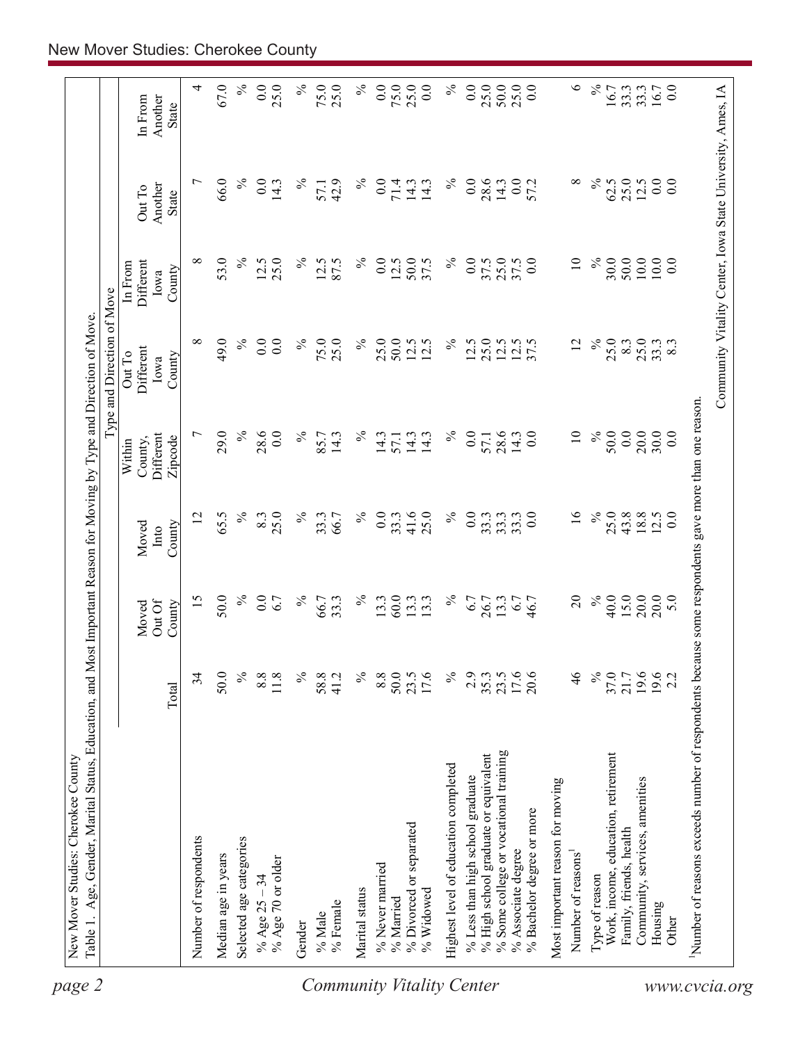| Community Vitality Center, Iowa State University, Ames, IA<br>4<br>67.0<br>$\%$<br>0.0<br>$\%$<br>75.0<br>$\%$<br>$\overline{0.0}$<br>75.0<br>25.0<br>$\%$<br>0.0<br>25.0<br>50.0<br>25.0<br>0.0<br>$\circ$<br>$\%$<br>0.0<br>25.0<br>25.0<br>0.0<br>16.7<br>16.7<br>33.3<br>33.3<br>In From<br>Another<br>State<br>$0.0\,$<br>66.0<br>$\%$<br>$\%$<br>0.0<br>$\%$<br>0.0<br>$\overline{ }$<br>$\overline{0}$ .<br>$\%$<br>42.9<br>$\%$<br>0.0<br>71.4<br>28.6<br>0.0<br>57.2<br>∞<br>62.5<br>25.0<br>12.5<br>14.3<br>14.3<br>14.3<br>14.3<br>57.1<br>Another<br>$\mathop{\rm Out}\nolimits\mathop{\rm To}\nolimits$<br><b>State</b><br>10.0<br>53.0<br>$\%$<br>25.0<br>$\%$<br>0.0<br>0.0<br>$\overline{10}$<br>$\%$<br>30.0<br>50.0<br>$10.0\,$<br>0.0<br>∞<br>12.5<br>$\%$<br>12.5<br>87.5<br>12.5<br>50.0<br>37.5<br>$\%$<br>0.0<br>25.0<br>37.5<br>Different<br>37.5<br>In From<br>County<br>Iowa<br>$\%$<br>$\%$<br>25.0<br>$12.5$<br>$12.5$<br>$37.5$<br>$\%$<br>25.0<br>25.0<br>∞<br>49.0<br>0.0<br>$\overline{0}$ .<br>75.0<br>25.0<br>$\%$<br>50.0<br>$12.5$<br>$12.5$<br>$\%$<br>12.5<br>25.0<br>8.3<br>33.3<br>12<br>Different<br>Out To<br>County<br>Iowa<br>Number of reasons exceeds number of respondents because some respondents gave more than one reason.<br>$\%$<br>29.0<br>$\%$<br>$\%$<br>0.0<br>28.6<br>0.0<br>0.0<br>20.0<br>$\overline{ }$<br>28.6<br>0.0<br>$\%$<br>$\overline{10}$<br>$\%$<br>50.0<br>30.0<br>85.7<br>14.3<br>14.3<br>0.0<br>Different<br>14.3<br>14.3<br>14.3<br>57.1<br>57.1<br>Zipcode<br>County,<br>Within<br>41.6<br>$\overline{16}$<br>$\%$<br>25.0<br>$43.8$ $18.8$<br>$\%$<br>25.0<br>$\%$<br>$\%$<br>0.0<br>25.0<br>$\%$<br>0.0<br>0.0<br>12.5<br>0.0<br>12<br>65.5<br>8.3<br>33.3<br>33.3<br>33.3<br>33.3<br>66.7<br>33.3<br>County<br>Moved<br>Into<br>$\Omega$<br>$\%$<br>40.0<br>15.0<br>20.0<br>20.0<br>50.0<br>$\%$<br>$\%$<br>$\%$<br>60.0<br>$\%$<br>5.0<br>15<br>0.0<br>13.3<br>6.7<br>6.7<br>66.7<br>33.3<br>13.3<br>13.3<br>26.7<br>13.3<br>6.7<br>46.7<br>Out Of<br>Moved<br>County<br>$\%$<br>$\%$<br>$\%$<br>$\%$<br>17.6<br>$\frac{4}{6}$<br>$\%$<br>21.7<br>19.6<br>19.6<br>34<br>50.0<br>8.8<br>11.8<br>58.8<br>8.8<br>50.0<br>17.6<br>37.0<br>41.2<br>23.5<br>2.9<br>35.3<br>23.5<br>20.6<br>2.2<br>Total<br>% Some college or vocational training<br>Work, income, education, retirement<br>% High school graduate or equivalent<br>Highest level of education completed<br>% Less than high school graduate<br>Community, services, amenities<br>Most important reason for moving<br>% Bachelor degree or more<br>% Divorced or separated<br>Family, friends, health<br>Number of respondents<br>Selected age categories<br>% Associate degree<br>Number of reasons<br>Median age in years<br>% Age 70 or older<br>% Never married<br>Type of reason<br>% Age $25 - 34$<br>Marital status<br>% Widowed<br>% Married<br>% Female<br>Housing<br>$\%$ Male<br>Other<br>Gender |  |  |  | Type and Direction of Move |  |  |
|-----------------------------------------------------------------------------------------------------------------------------------------------------------------------------------------------------------------------------------------------------------------------------------------------------------------------------------------------------------------------------------------------------------------------------------------------------------------------------------------------------------------------------------------------------------------------------------------------------------------------------------------------------------------------------------------------------------------------------------------------------------------------------------------------------------------------------------------------------------------------------------------------------------------------------------------------------------------------------------------------------------------------------------------------------------------------------------------------------------------------------------------------------------------------------------------------------------------------------------------------------------------------------------------------------------------------------------------------------------------------------------------------------------------------------------------------------------------------------------------------------------------------------------------------------------------------------------------------------------------------------------------------------------------------------------------------------------------------------------------------------------------------------------------------------------------------------------------------------------------------------------------------------------------------------------------------------------------------------------------------------------------------------------------------------------------------------------------------------------------------------------------------------------------------------------------------------------------------------------------------------------------------------------------------------------------------------------------------------------------------------------------------------------------------------------------------------------------------------------------------------------------------------------------------------------------------------------------------------------------------------------------------------------------------------------------------------------------------------------------------------------------------------------------------------------------------------------------------------------------------------------------------------------------------------------------------------|--|--|--|----------------------------|--|--|
|                                                                                                                                                                                                                                                                                                                                                                                                                                                                                                                                                                                                                                                                                                                                                                                                                                                                                                                                                                                                                                                                                                                                                                                                                                                                                                                                                                                                                                                                                                                                                                                                                                                                                                                                                                                                                                                                                                                                                                                                                                                                                                                                                                                                                                                                                                                                                                                                                                                                                                                                                                                                                                                                                                                                                                                                                                                                                                                                                     |  |  |  |                            |  |  |
| <b>Community Vitality Center</b><br>www.cvcia.org                                                                                                                                                                                                                                                                                                                                                                                                                                                                                                                                                                                                                                                                                                                                                                                                                                                                                                                                                                                                                                                                                                                                                                                                                                                                                                                                                                                                                                                                                                                                                                                                                                                                                                                                                                                                                                                                                                                                                                                                                                                                                                                                                                                                                                                                                                                                                                                                                                                                                                                                                                                                                                                                                                                                                                                                                                                                                                   |  |  |  |                            |  |  |
|                                                                                                                                                                                                                                                                                                                                                                                                                                                                                                                                                                                                                                                                                                                                                                                                                                                                                                                                                                                                                                                                                                                                                                                                                                                                                                                                                                                                                                                                                                                                                                                                                                                                                                                                                                                                                                                                                                                                                                                                                                                                                                                                                                                                                                                                                                                                                                                                                                                                                                                                                                                                                                                                                                                                                                                                                                                                                                                                                     |  |  |  |                            |  |  |
|                                                                                                                                                                                                                                                                                                                                                                                                                                                                                                                                                                                                                                                                                                                                                                                                                                                                                                                                                                                                                                                                                                                                                                                                                                                                                                                                                                                                                                                                                                                                                                                                                                                                                                                                                                                                                                                                                                                                                                                                                                                                                                                                                                                                                                                                                                                                                                                                                                                                                                                                                                                                                                                                                                                                                                                                                                                                                                                                                     |  |  |  |                            |  |  |
|                                                                                                                                                                                                                                                                                                                                                                                                                                                                                                                                                                                                                                                                                                                                                                                                                                                                                                                                                                                                                                                                                                                                                                                                                                                                                                                                                                                                                                                                                                                                                                                                                                                                                                                                                                                                                                                                                                                                                                                                                                                                                                                                                                                                                                                                                                                                                                                                                                                                                                                                                                                                                                                                                                                                                                                                                                                                                                                                                     |  |  |  |                            |  |  |
|                                                                                                                                                                                                                                                                                                                                                                                                                                                                                                                                                                                                                                                                                                                                                                                                                                                                                                                                                                                                                                                                                                                                                                                                                                                                                                                                                                                                                                                                                                                                                                                                                                                                                                                                                                                                                                                                                                                                                                                                                                                                                                                                                                                                                                                                                                                                                                                                                                                                                                                                                                                                                                                                                                                                                                                                                                                                                                                                                     |  |  |  |                            |  |  |
|                                                                                                                                                                                                                                                                                                                                                                                                                                                                                                                                                                                                                                                                                                                                                                                                                                                                                                                                                                                                                                                                                                                                                                                                                                                                                                                                                                                                                                                                                                                                                                                                                                                                                                                                                                                                                                                                                                                                                                                                                                                                                                                                                                                                                                                                                                                                                                                                                                                                                                                                                                                                                                                                                                                                                                                                                                                                                                                                                     |  |  |  |                            |  |  |
|                                                                                                                                                                                                                                                                                                                                                                                                                                                                                                                                                                                                                                                                                                                                                                                                                                                                                                                                                                                                                                                                                                                                                                                                                                                                                                                                                                                                                                                                                                                                                                                                                                                                                                                                                                                                                                                                                                                                                                                                                                                                                                                                                                                                                                                                                                                                                                                                                                                                                                                                                                                                                                                                                                                                                                                                                                                                                                                                                     |  |  |  |                            |  |  |
|                                                                                                                                                                                                                                                                                                                                                                                                                                                                                                                                                                                                                                                                                                                                                                                                                                                                                                                                                                                                                                                                                                                                                                                                                                                                                                                                                                                                                                                                                                                                                                                                                                                                                                                                                                                                                                                                                                                                                                                                                                                                                                                                                                                                                                                                                                                                                                                                                                                                                                                                                                                                                                                                                                                                                                                                                                                                                                                                                     |  |  |  |                            |  |  |
|                                                                                                                                                                                                                                                                                                                                                                                                                                                                                                                                                                                                                                                                                                                                                                                                                                                                                                                                                                                                                                                                                                                                                                                                                                                                                                                                                                                                                                                                                                                                                                                                                                                                                                                                                                                                                                                                                                                                                                                                                                                                                                                                                                                                                                                                                                                                                                                                                                                                                                                                                                                                                                                                                                                                                                                                                                                                                                                                                     |  |  |  |                            |  |  |
|                                                                                                                                                                                                                                                                                                                                                                                                                                                                                                                                                                                                                                                                                                                                                                                                                                                                                                                                                                                                                                                                                                                                                                                                                                                                                                                                                                                                                                                                                                                                                                                                                                                                                                                                                                                                                                                                                                                                                                                                                                                                                                                                                                                                                                                                                                                                                                                                                                                                                                                                                                                                                                                                                                                                                                                                                                                                                                                                                     |  |  |  |                            |  |  |
|                                                                                                                                                                                                                                                                                                                                                                                                                                                                                                                                                                                                                                                                                                                                                                                                                                                                                                                                                                                                                                                                                                                                                                                                                                                                                                                                                                                                                                                                                                                                                                                                                                                                                                                                                                                                                                                                                                                                                                                                                                                                                                                                                                                                                                                                                                                                                                                                                                                                                                                                                                                                                                                                                                                                                                                                                                                                                                                                                     |  |  |  |                            |  |  |
|                                                                                                                                                                                                                                                                                                                                                                                                                                                                                                                                                                                                                                                                                                                                                                                                                                                                                                                                                                                                                                                                                                                                                                                                                                                                                                                                                                                                                                                                                                                                                                                                                                                                                                                                                                                                                                                                                                                                                                                                                                                                                                                                                                                                                                                                                                                                                                                                                                                                                                                                                                                                                                                                                                                                                                                                                                                                                                                                                     |  |  |  |                            |  |  |
|                                                                                                                                                                                                                                                                                                                                                                                                                                                                                                                                                                                                                                                                                                                                                                                                                                                                                                                                                                                                                                                                                                                                                                                                                                                                                                                                                                                                                                                                                                                                                                                                                                                                                                                                                                                                                                                                                                                                                                                                                                                                                                                                                                                                                                                                                                                                                                                                                                                                                                                                                                                                                                                                                                                                                                                                                                                                                                                                                     |  |  |  |                            |  |  |
|                                                                                                                                                                                                                                                                                                                                                                                                                                                                                                                                                                                                                                                                                                                                                                                                                                                                                                                                                                                                                                                                                                                                                                                                                                                                                                                                                                                                                                                                                                                                                                                                                                                                                                                                                                                                                                                                                                                                                                                                                                                                                                                                                                                                                                                                                                                                                                                                                                                                                                                                                                                                                                                                                                                                                                                                                                                                                                                                                     |  |  |  |                            |  |  |
|                                                                                                                                                                                                                                                                                                                                                                                                                                                                                                                                                                                                                                                                                                                                                                                                                                                                                                                                                                                                                                                                                                                                                                                                                                                                                                                                                                                                                                                                                                                                                                                                                                                                                                                                                                                                                                                                                                                                                                                                                                                                                                                                                                                                                                                                                                                                                                                                                                                                                                                                                                                                                                                                                                                                                                                                                                                                                                                                                     |  |  |  |                            |  |  |
|                                                                                                                                                                                                                                                                                                                                                                                                                                                                                                                                                                                                                                                                                                                                                                                                                                                                                                                                                                                                                                                                                                                                                                                                                                                                                                                                                                                                                                                                                                                                                                                                                                                                                                                                                                                                                                                                                                                                                                                                                                                                                                                                                                                                                                                                                                                                                                                                                                                                                                                                                                                                                                                                                                                                                                                                                                                                                                                                                     |  |  |  |                            |  |  |
|                                                                                                                                                                                                                                                                                                                                                                                                                                                                                                                                                                                                                                                                                                                                                                                                                                                                                                                                                                                                                                                                                                                                                                                                                                                                                                                                                                                                                                                                                                                                                                                                                                                                                                                                                                                                                                                                                                                                                                                                                                                                                                                                                                                                                                                                                                                                                                                                                                                                                                                                                                                                                                                                                                                                                                                                                                                                                                                                                     |  |  |  |                            |  |  |
|                                                                                                                                                                                                                                                                                                                                                                                                                                                                                                                                                                                                                                                                                                                                                                                                                                                                                                                                                                                                                                                                                                                                                                                                                                                                                                                                                                                                                                                                                                                                                                                                                                                                                                                                                                                                                                                                                                                                                                                                                                                                                                                                                                                                                                                                                                                                                                                                                                                                                                                                                                                                                                                                                                                                                                                                                                                                                                                                                     |  |  |  |                            |  |  |
|                                                                                                                                                                                                                                                                                                                                                                                                                                                                                                                                                                                                                                                                                                                                                                                                                                                                                                                                                                                                                                                                                                                                                                                                                                                                                                                                                                                                                                                                                                                                                                                                                                                                                                                                                                                                                                                                                                                                                                                                                                                                                                                                                                                                                                                                                                                                                                                                                                                                                                                                                                                                                                                                                                                                                                                                                                                                                                                                                     |  |  |  |                            |  |  |
|                                                                                                                                                                                                                                                                                                                                                                                                                                                                                                                                                                                                                                                                                                                                                                                                                                                                                                                                                                                                                                                                                                                                                                                                                                                                                                                                                                                                                                                                                                                                                                                                                                                                                                                                                                                                                                                                                                                                                                                                                                                                                                                                                                                                                                                                                                                                                                                                                                                                                                                                                                                                                                                                                                                                                                                                                                                                                                                                                     |  |  |  |                            |  |  |
|                                                                                                                                                                                                                                                                                                                                                                                                                                                                                                                                                                                                                                                                                                                                                                                                                                                                                                                                                                                                                                                                                                                                                                                                                                                                                                                                                                                                                                                                                                                                                                                                                                                                                                                                                                                                                                                                                                                                                                                                                                                                                                                                                                                                                                                                                                                                                                                                                                                                                                                                                                                                                                                                                                                                                                                                                                                                                                                                                     |  |  |  |                            |  |  |
|                                                                                                                                                                                                                                                                                                                                                                                                                                                                                                                                                                                                                                                                                                                                                                                                                                                                                                                                                                                                                                                                                                                                                                                                                                                                                                                                                                                                                                                                                                                                                                                                                                                                                                                                                                                                                                                                                                                                                                                                                                                                                                                                                                                                                                                                                                                                                                                                                                                                                                                                                                                                                                                                                                                                                                                                                                                                                                                                                     |  |  |  |                            |  |  |
|                                                                                                                                                                                                                                                                                                                                                                                                                                                                                                                                                                                                                                                                                                                                                                                                                                                                                                                                                                                                                                                                                                                                                                                                                                                                                                                                                                                                                                                                                                                                                                                                                                                                                                                                                                                                                                                                                                                                                                                                                                                                                                                                                                                                                                                                                                                                                                                                                                                                                                                                                                                                                                                                                                                                                                                                                                                                                                                                                     |  |  |  |                            |  |  |
|                                                                                                                                                                                                                                                                                                                                                                                                                                                                                                                                                                                                                                                                                                                                                                                                                                                                                                                                                                                                                                                                                                                                                                                                                                                                                                                                                                                                                                                                                                                                                                                                                                                                                                                                                                                                                                                                                                                                                                                                                                                                                                                                                                                                                                                                                                                                                                                                                                                                                                                                                                                                                                                                                                                                                                                                                                                                                                                                                     |  |  |  |                            |  |  |
|                                                                                                                                                                                                                                                                                                                                                                                                                                                                                                                                                                                                                                                                                                                                                                                                                                                                                                                                                                                                                                                                                                                                                                                                                                                                                                                                                                                                                                                                                                                                                                                                                                                                                                                                                                                                                                                                                                                                                                                                                                                                                                                                                                                                                                                                                                                                                                                                                                                                                                                                                                                                                                                                                                                                                                                                                                                                                                                                                     |  |  |  |                            |  |  |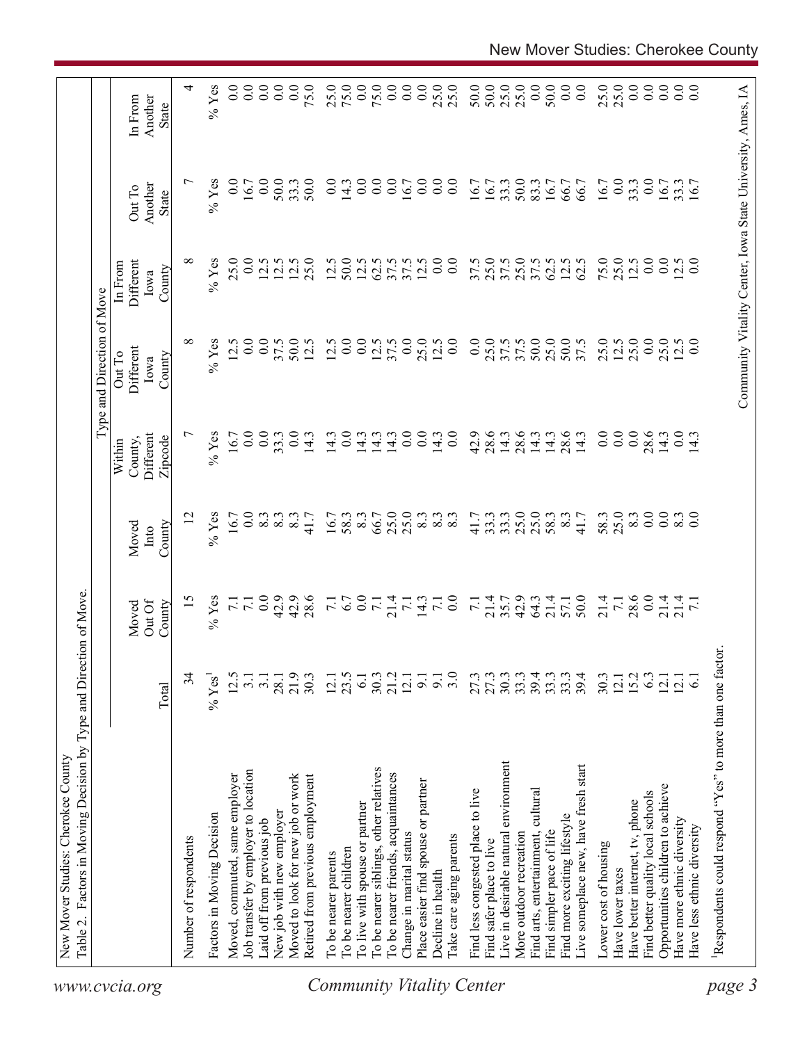|                                  | Factors in Moving Decision by Type and Direction of Move.<br>New Mover Studies: Cherokee County<br>Table 2. |                      |                                           |                  |                                       | Type and Direction of Move  |                                                            |                   |                      |
|----------------------------------|-------------------------------------------------------------------------------------------------------------|----------------------|-------------------------------------------|------------------|---------------------------------------|-----------------------------|------------------------------------------------------------|-------------------|----------------------|
| www.cvcia.org                    |                                                                                                             |                      | Out Of<br>Moved                           | Moved<br>Into    | <b>Different</b><br>County,<br>Within | Different<br>Out To<br>Iowa | Different<br>In From<br>Iowa                               | Another<br>Out To | Another<br>In From   |
|                                  |                                                                                                             | Total                | County                                    | County           | Zipcode                               | County                      | County                                                     | State             | State                |
|                                  | Number of respondents                                                                                       | 34                   | $\frac{5}{2}$                             |                  | $\overline{ }$                        | $\infty$                    | ${}^{\circ}$                                               | $\overline{ }$    | 4                    |
|                                  | Factors in Moving Decision                                                                                  | % Yes <sup>1</sup>   | $%$ Yes                                   | % $Y$ es         | $%$ Yes                               | $%$ Yes                     | $%$ Yes                                                    | $%$ Yes           | $%$ Yes              |
|                                  | Moved, commuted, same employer                                                                              | 12.5                 |                                           | 16.7             | 16.7                                  | 12.5                        | 25.0                                                       | 0.0               | $\overline{0}$ .     |
|                                  | Job transfer by employer to location                                                                        | $\overline{3}$ .     | 7.1                                       | 0.0              | 0.0                                   | 0.0                         | 0.0                                                        | 16.7              | $\overline{0.0}$     |
|                                  | Laid off from previous job                                                                                  | $\overline{3}$ .     | $0.0$<br>$0.9$<br>$0.9$<br>$0.8$<br>$0.8$ | 2332             | 0.0                                   | $\overline{0.0}$            | 12.5                                                       | 0.0               | $\overline{0.0}$     |
|                                  | New job with new employer                                                                                   | 28.1                 |                                           |                  | 33.3                                  | 37.5                        | 12.5                                                       | 50.0              | $\overline{0.0}$     |
|                                  | Moved to look for new job or work                                                                           | 21.9                 |                                           |                  | 0.0                                   | 50.0                        | 12.5                                                       | 33.3              | $\overline{0.0}$     |
|                                  | Retired from previous employment                                                                            | 30.3                 |                                           | 41.7             | 14.3                                  | 12.5                        | 25.0                                                       | 50.0              | 75.0                 |
|                                  | To be nearer parents                                                                                        |                      |                                           | 16.7             | 14.3                                  | 12.5                        | 12.5                                                       | 0.0               |                      |
|                                  | To be nearer children                                                                                       | $12.1$<br>$23.5$     | $\frac{7}{1.7}$                           | 58.3             | 0.0                                   | 0.0                         | 50.0                                                       | 14.3              | 25.0                 |
|                                  | To live with spouse or partner                                                                              | $6.1\,$              |                                           | $8.\overline{3}$ | 14.3                                  | 0.0                         | 12.5                                                       | 0.0               | 0.0                  |
|                                  | To be nearer siblings, other relatives                                                                      | 30.3                 | $0.0$<br>$7.1$<br>$7.1$<br>$7.1$          | 66.7             | 14.3                                  | 12.5                        | 62.5                                                       | $\overline{0.0}$  | 75.0                 |
|                                  | To be nearer friends, acquaintances                                                                         | 21.2                 |                                           | 25.0             | 14.3                                  | 37.5                        | 37.5                                                       | 0.0               | $\overline{0}$ .     |
|                                  | Change in marital status                                                                                    | 12.1                 |                                           | 25.0             | 0.0                                   | 0.0                         | 37.5                                                       | 16.7              | $\overline{0.0}$     |
|                                  | Place easier find spouse or partner                                                                         | 9.1                  |                                           | 8.3              | 0.0                                   | 25.0                        | 12.5                                                       | 0.0               | 0.0                  |
|                                  | Decline in health                                                                                           | $\overline{9}$ .     | $\frac{14.3}{7.1}$                        | $\frac{83}{83}$  | 14.3                                  | 12.5                        | 0.0                                                        | $\overline{0.0}$  | 25.0                 |
| <b>Community Vitality Center</b> | lake care aging parents                                                                                     | 3.0                  |                                           |                  | $\overline{0}$ .                      | 0.0                         | $\overline{0}$                                             | $_{0.0}$          |                      |
|                                  | Find less congested place to live                                                                           |                      |                                           | 41.7             | 42.9                                  | 0.0                         | 37.5                                                       | 16.7              | 50.0                 |
|                                  | Find safer place to live                                                                                    | 27.3<br>27.3<br>30.3 |                                           | 33.3             | 28.6                                  |                             | 25.0                                                       | 16.7              |                      |
|                                  | Live in desirable natural environment                                                                       |                      | $7147943$<br>$7147943$                    | 33.3             | 14.3                                  | 25.0                        | 37.5                                                       | 33.3              | 50.0<br>25.0<br>25.0 |
|                                  | More outdoor recreation                                                                                     | 33.3                 |                                           | $25.0$<br>$25.0$ | 28.6                                  | 37.5<br>50.0                | 25.0<br>37.5                                               | 50.0              |                      |
|                                  | Find arts, entertainment, cultural                                                                          |                      |                                           |                  | 14.3                                  |                             |                                                            | 83.3              | 0.0                  |
|                                  | Find simpler pace of life                                                                                   | 33.3                 | 21.4<br>57.1                              | 58.3             | 14.3                                  | 25.0                        | 62.5                                                       | 16.7              | 50.0                 |
|                                  | Find more exciting lifestyle                                                                                |                      |                                           | 8.3              | 28.6                                  | 50.0                        | 12.5                                                       | 66.7              | 0.0                  |
|                                  | Live someplace new, have fresh start                                                                        | 39.4                 | 50.0                                      | 41.7             | 14.3                                  | 37.5                        | 62.5                                                       | 66.7              | $\overline{0.0}$     |
|                                  | Lower cost of housing                                                                                       | 30.3                 | 21.4                                      | 58.3             | $\overline{0.0}$                      | 25.0                        | 75.0                                                       | 16.7              | 25.0                 |
|                                  | Have lower taxes                                                                                            | 12.1                 | $\overline{7.1}$                          | 25.0             | $\overline{0.0}$                      | 12.5                        | 25.0                                                       | 0.0               | 25.0                 |
|                                  | Have better internet, tv, phone                                                                             | 15.2                 | $28.6$<br>0.0                             | 8.3              | 0.0                                   | 25.0                        | 12.5                                                       | 33.3              | 0.0                  |
|                                  | Find better quality local schools                                                                           | 6.3                  |                                           | 0.0              | 28.6                                  | 0.0                         | 0.0                                                        | 0.0               | $\overline{0.0}$     |
|                                  | Opportunities children to achieve                                                                           | 12.1                 | $\frac{14}{214}$                          | 0.0              | 14.3                                  | 25.0                        | 0.0                                                        | 16.7              | 0.0                  |
|                                  | Have more ethnic diversity                                                                                  | $\overline{2}$ .     |                                           | 8.3              | 0.0                                   | 12.5                        | 12.5                                                       | 33.3<br>16.7      | 0.0                  |
|                                  | Have less ethnic diversity                                                                                  | $\overline{6}$       |                                           | $\overline{0.0}$ | 14.3                                  | 0.0                         | 0.0                                                        |                   | $\overline{0.0}$     |
| page 3                           | Respondents could respond "Yes" to more than one factor.                                                    |                      |                                           |                  |                                       |                             |                                                            |                   |                      |
|                                  |                                                                                                             |                      |                                           |                  |                                       |                             | Community Vitality Center, Iowa State University, Ames, IA |                   |                      |
|                                  |                                                                                                             |                      |                                           |                  |                                       |                             |                                                            |                   |                      |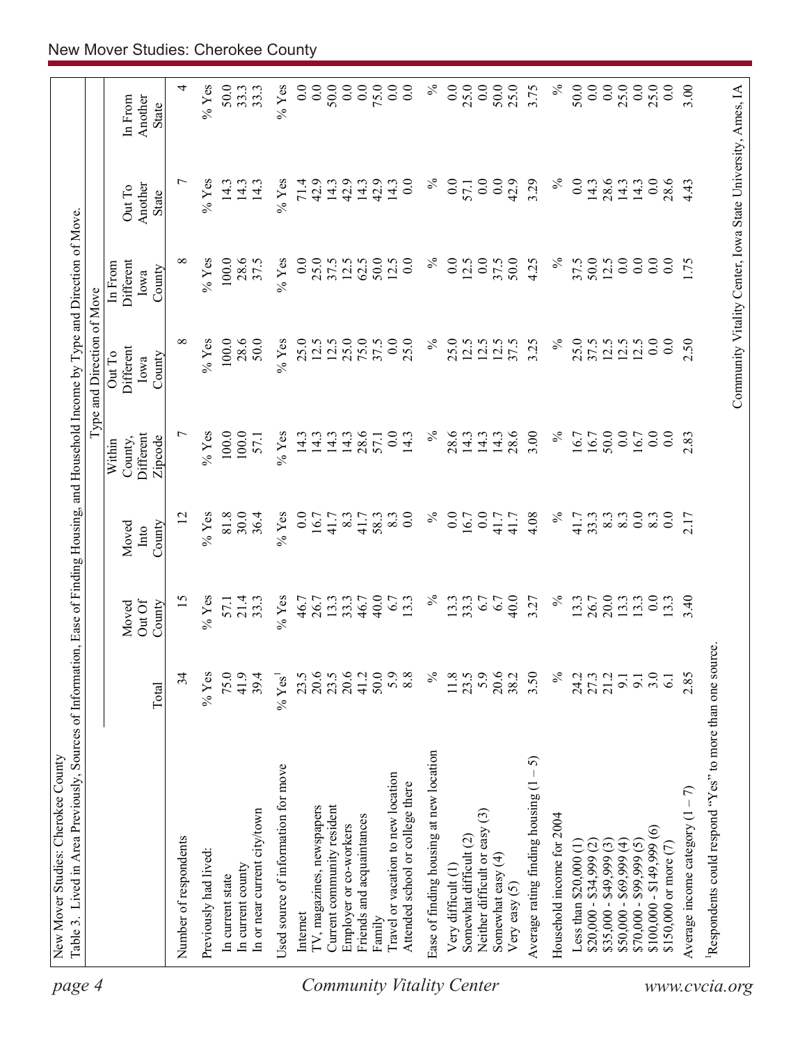| page 4                    | Table 3. Lived in Area Previously, Sources of Information, Ease of Finding Housing, and Household Income by Type and Direction of Move<br>New Mover Studies: Cherokee County |                       |                  |                  |                      |                            |                      |                                                            |                         |
|---------------------------|------------------------------------------------------------------------------------------------------------------------------------------------------------------------------|-----------------------|------------------|------------------|----------------------|----------------------------|----------------------|------------------------------------------------------------|-------------------------|
|                           |                                                                                                                                                                              |                       |                  |                  |                      | Type and Direction of Move |                      |                                                            |                         |
|                           |                                                                                                                                                                              |                       | Moved            | Moved            | County,<br>Within    | Different<br>Out To        | Different<br>In From | Out To                                                     | In From                 |
|                           |                                                                                                                                                                              | Total                 | Out Of<br>County | County<br>Into   | Different<br>Zipcode | County<br>Iowa             | County<br>Iowa       | Another<br><b>State</b>                                    | Another<br><b>State</b> |
|                           | Number of respondents                                                                                                                                                        | 34                    | $\overline{15}$  | 12               | $\overline{ }$       | $\infty$                   | ∞                    | ↽                                                          | 4                       |
|                           | Previously had lived:                                                                                                                                                        | $%$ Yes               | $%$ Yes          | $%$ Yes          | $%$ Yes              | $%$ Yes                    | $%$ Yes              | $%$ Yes                                                    | $%$ Yes                 |
|                           | In current state                                                                                                                                                             | 75.0                  |                  | 81.8             | 100.0                | 100.0                      | 100.0                | 14.3                                                       | 50.0                    |
|                           | In current county                                                                                                                                                            | 41.9                  | 57.1<br>21.4     | 30.0             | 100.0                | 28.6                       | 28.6                 | 14.3                                                       | 33.3                    |
|                           | In or near current city/town                                                                                                                                                 | 39.4                  | 33.3             | 36.4             | 57.1                 | 50.0                       | 37.5                 | 14.3                                                       | 33.3                    |
|                           | Used source of information for move                                                                                                                                          | $\%$ Yes <sup>1</sup> | $\%$ Yes         | $%$ Yes          | $\%$ Yes             | $%$ Yes                    | $%$ Yes              | $\%$ Yes                                                   | $%$ Yes                 |
|                           | Internet                                                                                                                                                                     | 23.5                  | 46.7             | $\overline{0}$ . | 14.3                 | 25.0                       | 0.0                  | 71.4                                                       | 0.0                     |
|                           | IV, magazines, newspapers                                                                                                                                                    | 20.6                  | 26.7             | 16.7             | 14.3                 | 12.5                       | 25.0                 | 42.9                                                       | 0.0                     |
|                           | Current community resident                                                                                                                                                   | 23.5                  | 13.3             | 41.7             | 14.3                 | 12.5                       | 37.5                 | 14.3                                                       | 50.0                    |
|                           | Employer or co-workers                                                                                                                                                       | 20.6                  | 33.3             | 8.3              | 14.3                 | 25.0                       | $12.5$<br>62.5       | 42.9                                                       | 0.0                     |
|                           | Friends and acquaintances                                                                                                                                                    | 41.2                  | 46.7             | 41.7             | 28.6                 | 75.0                       |                      | 14.3                                                       | 0.0                     |
|                           | Family                                                                                                                                                                       | 50.0                  | 40.0             | 58.3             | 57.1                 | 37.5                       | 50.0                 | 42.9                                                       | 75.0                    |
| Community Vitality Center | Travel or vacation to new location<br>Attended school or college there                                                                                                       | 5.9<br>8.8            | 13.3<br>6.7      | 0.0<br>8.3       | 0.0<br>14.3          | 0.0<br>25.0                | 0.0<br>12.5          | $\overline{0}$<br>14.3                                     | 0.0<br>0.0              |
|                           | Ease of finding housing at new location                                                                                                                                      | $\%$                  | $\%$             | $\%$             | $\%$                 | $\%$                       | $\%$                 | $\%$                                                       | $\%$                    |
|                           | Very difficult (1)                                                                                                                                                           | 11.8                  | 13.3             | 0.0              | 28.6                 | 25.0                       | 0.0                  | 0.0                                                        | 0.0                     |
|                           | Somewhat difficult (2)                                                                                                                                                       | 23.5                  | 33.3             | 16.7             | 14.3                 | 12.5                       | 12.5                 | 57.1                                                       | 25.0                    |
|                           | $\widetilde{\omega}$<br>Neither difficult or easy                                                                                                                            | 5.9                   | 6.7              | 0.0              | 14.3                 | 12.5                       | 0.0                  | 0.0                                                        | 0.0                     |
|                           | Somewhat easy (4)<br>Very easy $(5)$                                                                                                                                         | 20.6<br>38.2          | 40.0<br>6.7      | 41.7<br>41.7     | 28.6<br>14.3         | 12.5<br>37.5               | 37.5<br>50.0         | 0.0<br>42.9                                                | 50.0<br>25.0            |
|                           | - 5)<br>Average rating finding housing (1                                                                                                                                    | 3.50                  | 3.27             | 4.08             | 3.00                 | 3.25                       | 4.25                 | 3.29                                                       | 3.75                    |
|                           | Household income for 2004                                                                                                                                                    | $\%$                  | $\%$             | $\%$             | $\%$                 | $\%$                       | $\%$                 | $\%$                                                       | $\%$                    |
|                           | Less than $$20,000(1)$                                                                                                                                                       | 24.2                  | 13.3             | 41.7             | 16.7                 | 25.0                       | 37.5                 | 0.0                                                        | 50.0                    |
|                           | $$20,000 - $34,999$ (2)                                                                                                                                                      | 27.3                  | 26.7             | 33.3             | 16.7                 | 37.5                       | 50.0                 | 14.3                                                       | 0.0                     |
|                           | $$35,000 - $49,999(3)$                                                                                                                                                       | 21.2                  | 20.0             | $\frac{8}{3}$    | 50.0                 | 12.5                       | 12.5                 | 28.6                                                       | 0.0                     |
|                           | $$50,000 - $69,999 (4)$                                                                                                                                                      | 9.1                   | 13.3             |                  | 0.0                  | 12.5                       | 0.0                  | 14.3                                                       | 25.0                    |
|                           | $$70,000 - $99,999(5)$                                                                                                                                                       | 9.1                   | 13.3             | $rac{0.0}{8.3}$  | 16.7                 | 12.5                       | $\overline{0.0}$     | 14.3                                                       | 0.0                     |
|                           | $$100,000 - $149,999(6)$                                                                                                                                                     | 3.0                   | $\overline{0.0}$ |                  | 0.0                  | 0.0                        | $\overline{0}$ .     | 0.0                                                        | 25.0                    |
|                           | \$150,000 or more (7)                                                                                                                                                        | $\overline{61}$       | $\overline{3}$   | $\overline{0.0}$ | $0.0\,$              | $\overline{0}$ .           | $_{0.0}$             | 28.6                                                       | 0.0                     |
|                           | Average income category $(1 - 7)$                                                                                                                                            | 2.85                  | 3.40             | 2.17             | 2.83                 | 2.50                       | 1.75                 | 4.43                                                       | 3.00                    |
|                           | Respondents could respond "Yes" to more than one source                                                                                                                      |                       |                  |                  |                      |                            |                      |                                                            |                         |
| www.cvcia.org             |                                                                                                                                                                              |                       |                  |                  |                      |                            |                      | Community Vitality Center, Iowa State University, Ames, IA |                         |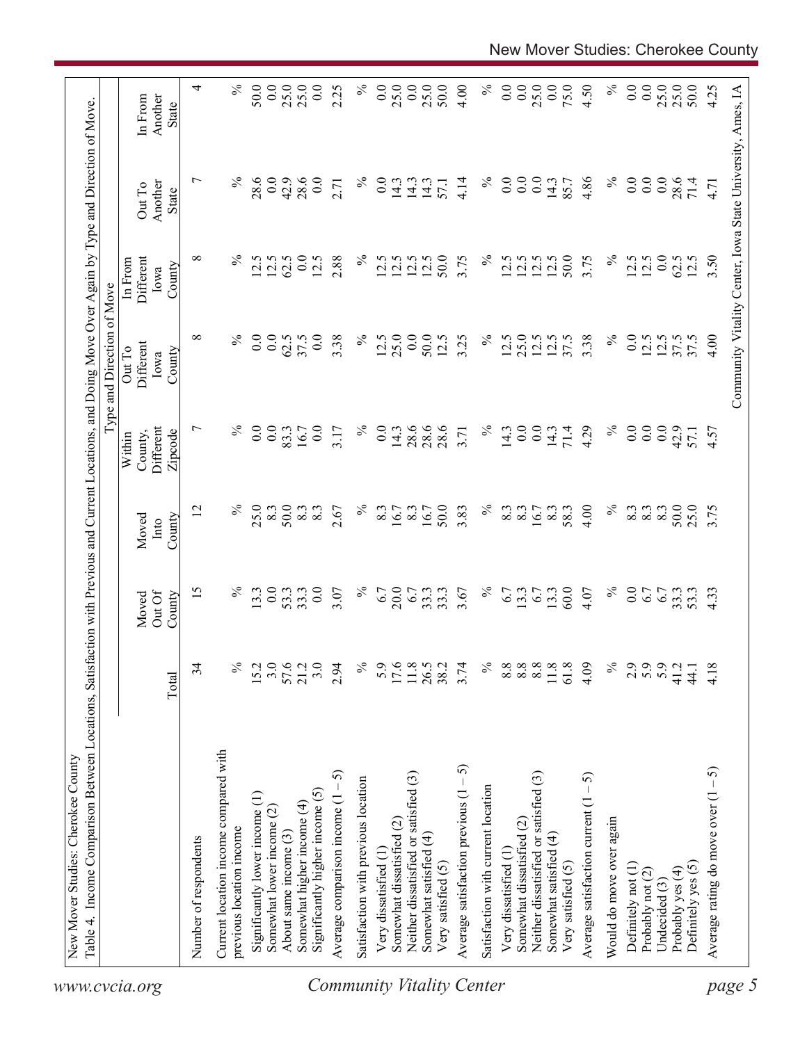|               |                                                                   |                          |                           |                         |                                           | Type and Direction of Move                                 |                                        |                            |                             |
|---------------|-------------------------------------------------------------------|--------------------------|---------------------------|-------------------------|-------------------------------------------|------------------------------------------------------------|----------------------------------------|----------------------------|-----------------------------|
|               |                                                                   | Total                    | Out Of<br>County<br>Moved | County<br>Moved<br>Into | Different<br>Zipcode<br>County,<br>Within | Different<br>Out To<br>County<br>Iowa                      | Different<br>In From<br>County<br>Iowa | Another<br>Out To<br>State | Another<br>In From<br>State |
|               | Number of respondents                                             | 34                       | 15                        | 12                      | $\overline{ }$                            | $\infty$                                                   | $\infty$                               | $\overline{ }$             | 4                           |
|               | Current location income compared with<br>previous location income | $\frac{5}{6}$            | $\%$                      | $\%$                    | $\%$                                      | $\%$                                                       | $\%$                                   | $\%$                       | $\%$                        |
|               | Significantly lower income (1)                                    | 15.2                     | 13.3                      | 25.0                    |                                           | 0.0                                                        | 12.5                                   | 28.6                       | 50.0                        |
|               | Somewhat lower income (2)                                         | 3.0                      | 0.0                       | 8.3                     | 0.0                                       | 0.0                                                        | 12.5                                   | 0.0                        | 0.0                         |
|               | About same income (3)                                             |                          | 53.3                      | 50.0                    | 83.3                                      | 62.5                                                       | 62.5                                   | 42.9                       | 25.0                        |
|               | Somewhat higher income (4)                                        | 57.6<br>21.2             | 33.3                      | 8.3                     | 16.7                                      | 37.5                                                       | 0.0                                    | 28.6                       | 25.0                        |
|               | Significantly higher income (5)                                   | 3.0                      | 0.0                       | 8.3                     | 0.0                                       | 0.0                                                        | 12.5                                   | 0.0                        | 0.0                         |
|               | Average comparison income $(1 - 5)$                               | 2.94                     | 3.07                      | 2.67                    | 3.17                                      | 3.38                                                       | 2.88                                   | 2.71                       | 2.25                        |
|               | Satisfaction with previous location                               | $\%$                     | $\%$                      | $\%$                    | $\%$                                      | $\%$                                                       | $\%$                                   | $\%$                       | $\%$                        |
|               | Very dissatisfied (1)                                             | 5.9                      | 6.7                       | 8.3                     | 0.0                                       | 12.5                                                       | 12.5                                   | $\overline{0}$ .           | 0.0                         |
|               | Somewhat dissatisfied (2)                                         | $17.6$<br>11.8           | 20.0                      | 16.7                    | 14.3                                      | 25.0                                                       | 12.5                                   | 14.3                       | 25.0                        |
|               | Neither dissatisfied or satisfied (3)                             |                          | 6.7                       | 8.3                     | 28.6                                      | 0.0                                                        | 12.5                                   | 14.3                       | 0.0                         |
|               | Somewhat satisfied (4)                                            | 26.5                     | 33.3                      | 16.7                    | 28.6                                      | 50.0                                                       | 12.5                                   | 14.3                       | 25.0                        |
|               | Very satisfied (5)                                                | 38.2                     | 33.3                      | 50.0                    | 28.6                                      | 12.5                                                       | 50.0                                   | 57.1                       | 50.0                        |
|               | Average satisfaction previous $(1 - 5)$                           | 3.74                     | 3.67                      | 3.83                    | 3.71                                      | 3.25                                                       | 3.75                                   | 4.14                       | 4.00                        |
|               | Satisfaction with current location                                | $\%$                     | $\%$                      | $\%$                    | $\%$                                      | $\%$                                                       | $\%$                                   | $\%$                       | $\%$                        |
|               | Very dissatisfied (1)                                             | $8.8\,$                  | 6.7                       | 8.3                     | 14.3                                      | 12.5                                                       | 12.5                                   | 0.0                        | 0.0                         |
|               | Somewhat dissatisfied (2)                                         |                          | $3.\overline{3}$          | 8.3                     | 0.0                                       | 25.0                                                       | 12.5                                   | 0.0                        | 0.0                         |
|               | Neither dissatisfied or satisfied (3)                             | $8.8$<br>$8.8$<br>$11.8$ | 6.7                       | 16.7                    | 0.0                                       | 12.5                                                       | 12.5                                   | 0.0                        | 25.0                        |
|               | Somewhat satisfied (4)<br>Very satisfied (5)                      | 61.8                     | 60.0<br>13.3              | 8.3<br>58.3             | 71.4<br>14.3                              | 37.5<br>12.5                                               | 12.5<br>50.0                           | 14.3<br>85.7               | 0.0<br>75.0                 |
|               | Average satisfaction current $(1 - 5)$                            | 4.09                     | 4.07                      | 4.00                    | 4.29                                      | 3.38                                                       | 3.75                                   | 4.86                       | 4.50                        |
|               | Would do move over again                                          | $\frac{5}{6}$            | $\%$                      | $\%$                    | $\%$                                      | $\%$                                                       | $\%$                                   | $\%$                       | $\%$                        |
|               | Definitely not (1)                                                | 2.9                      | 0.0                       | 8.3                     | 0.0                                       | 0.0                                                        | 12.5                                   | 0.0                        | 0.0                         |
|               | Probably not (2)                                                  | 5.9                      | 6.7                       | 8.3                     | 0.0                                       | 12.5                                                       | 12.5                                   | 0.0                        | 0.0                         |
| Undecided (3) |                                                                   | 5.9                      | 6.7                       | 8.3                     | 0.0                                       | 12.5                                                       | 0.0                                    | 0.0                        | 25.0                        |
|               | Probably yes (4)                                                  | 41.2                     | 33.3<br>53.3              | 50.0                    | 42.9                                      | 37.5                                                       | 62.5                                   | 28.6                       | 25.0                        |
|               | Definitely yes (5)                                                | 44.1                     |                           | 25.0                    | 57.1                                      |                                                            |                                        | 71.4                       | 50.0                        |
|               | Average rating do move over $(1 - 5)$                             | 4.18                     | 4.33                      | 3.75                    | 4.57                                      | 4.00                                                       | 3.50                                   | 4.71                       | 4.25                        |
|               |                                                                   |                          |                           |                         |                                           | Community Vitality Center, Iowa State University, Ames, IA |                                        |                            |                             |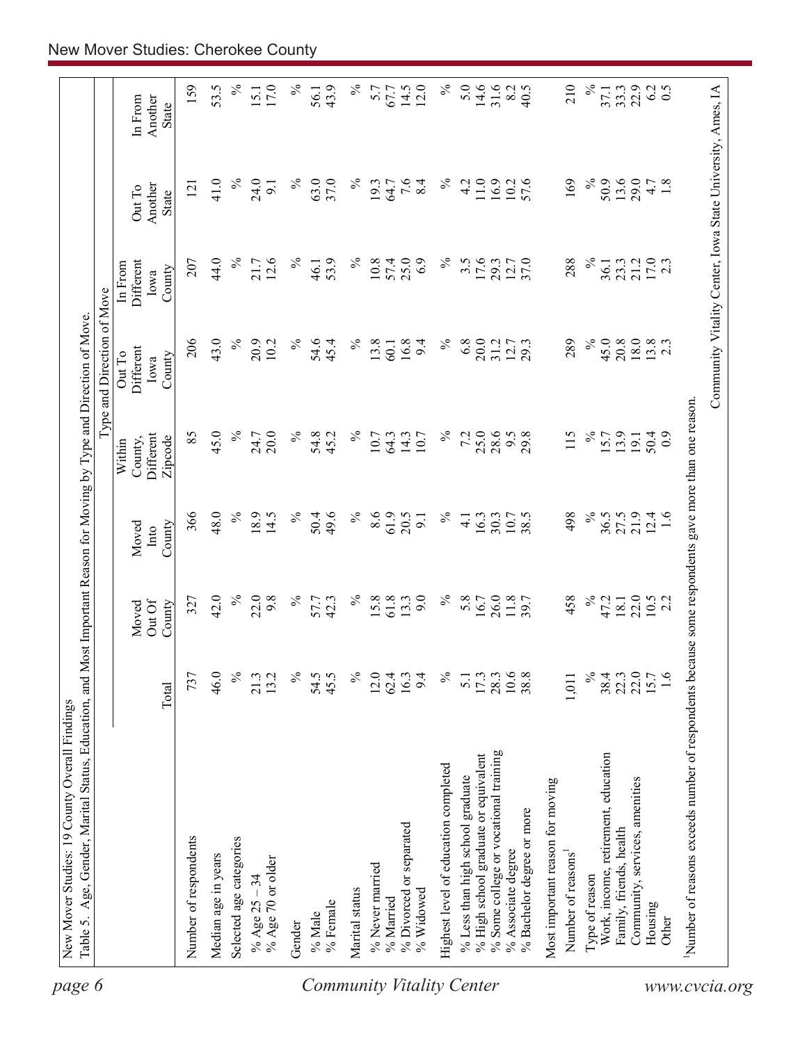| 31.6<br>43.9<br>$14.5$<br>12.0<br>8.2<br>22.9<br>6.2<br>40.5<br>33.3<br>$\overline{0.5}$<br>67.7<br>State<br>$\%$<br>$\%$<br>$\%$<br>7.6<br>$\%$<br>11.0<br>169<br>$\%$<br>50.9<br>13.6<br>41.0<br>24.0<br>63.0<br>37.0<br>4.2<br>16.9<br>57.6<br>29.0<br>1.8<br>19.3<br>64.7<br>8.4<br>10.2<br>4.7<br>9.1<br>121<br>Another<br>Out To<br>State<br>$\%$<br>$\%$<br>44.0<br>12.6<br>$\%$<br>$\%$<br>17.6<br>$\frac{21.2}{17.0}$<br>$\%$<br>53.9<br>25.0<br>6.9<br>$3.\overline{5}$<br>37.0<br>288<br>207<br>21.7<br>10.8<br>57.4<br>29.3<br>12.7<br>23.3<br>Different<br>36.1<br>In From<br>46.1<br>County<br>Iowa<br>206<br>43.0<br>$\%$<br>$\%$<br>6.8<br>20.0<br>$\%$<br>45.0<br>20.8<br>$18.0\,$<br>$13.8$<br>2.3<br>20.9<br>$\%$<br>54.6<br>$\%$<br>13.8<br>16.8<br>289<br>10.2<br>45.4<br>9.4<br>31.2<br>12.7<br>$60.1$<br>Different<br>Out To<br>County<br>Iowa<br>use some respondents gave more than one reason.<br>$\%$<br>45.0<br>$\%$<br>$\%$<br>25.0<br>28.6<br>$\%$<br>85<br>$\%$<br>54.8<br>7.2<br>115<br>20.0<br>45.2<br>9.5<br>29.8<br>13.9<br>24.7<br>10.7<br>64.3<br>14.3<br>10.7<br>15.7<br>50.4<br>Different<br>$\overline{0}$<br>19.1<br>County,<br>Zipcode<br>Within<br>366<br>48.0<br>$\%$<br>18.9<br>$\%$<br>8.6<br>61.9<br>$\%$<br>21.9<br>14.5<br>$\%$<br>50.4<br>49.6<br>20.5<br>$\%$<br>38.5<br>498<br>36.5<br>27.5<br>$12.4$<br>1.6<br>$\frac{1}{4}$<br>16.3<br>9.1<br>30.3<br>10.7<br>County<br>Moved<br>Into<br>$\%$<br>$\%$<br>$\%$<br>22.0<br>42.0<br>22.0<br>9.8<br>$\%$<br>$\%$<br>61.8<br>9.0<br>5.8<br>26.0<br>458<br>57.7<br>42.3<br>15.8<br>13.3<br>16.7<br>11.8<br>47.2<br>18.1<br>$10.5$<br>2.2<br>327<br>Out Of<br>County<br>Moved<br>Number of reasons exceeds number of respondents beca<br>$\frac{5}{6}$<br>$\frac{173}{2800}$<br>$\frac{3}{1008}$<br>$\approx$<br>22.0<br>22.0<br>15.7<br>1.6<br>46.0<br>13.2<br>$\%$<br>54.5<br>45.5<br>$\%$<br>12.0<br>16.3<br>$\%$<br>38.4<br>737<br>21.3<br>62.4<br>9.4<br>5.1<br>1,011<br>Total<br>% Some college or vocational training<br>% High school graduate or equivalent<br>Work, income, retirement, education<br>Highest level of education completed<br>% Less than high school graduate<br>Community, services, amenities<br>Most important reason for moving<br>% Bachelor degree or more<br>% Divorced or separated<br>Family, friends, health<br>Number of respondents<br>Selected age categories<br>% Associate degree<br>Number of reasons<br>Median age in years<br>% Age 70 or older<br>% Never married<br>Type of reason<br>% Age $25 - 34$<br>Marital status<br>% Widowed<br>% Married<br>% Female<br>Housing<br>% Male<br>Other<br>Gender |  |  | Type and Direction of Move |  |                    |
|----------------------------------------------------------------------------------------------------------------------------------------------------------------------------------------------------------------------------------------------------------------------------------------------------------------------------------------------------------------------------------------------------------------------------------------------------------------------------------------------------------------------------------------------------------------------------------------------------------------------------------------------------------------------------------------------------------------------------------------------------------------------------------------------------------------------------------------------------------------------------------------------------------------------------------------------------------------------------------------------------------------------------------------------------------------------------------------------------------------------------------------------------------------------------------------------------------------------------------------------------------------------------------------------------------------------------------------------------------------------------------------------------------------------------------------------------------------------------------------------------------------------------------------------------------------------------------------------------------------------------------------------------------------------------------------------------------------------------------------------------------------------------------------------------------------------------------------------------------------------------------------------------------------------------------------------------------------------------------------------------------------------------------------------------------------------------------------------------------------------------------------------------------------------------------------------------------------------------------------------------------------------------------------------------------------------------------------------------------------------------------------------------------------------------------------------------------------------------------------------------------------------------------------------------------------------------------------------------------------------------------------------------|--|--|----------------------------|--|--------------------|
|                                                                                                                                                                                                                                                                                                                                                                                                                                                                                                                                                                                                                                                                                                                                                                                                                                                                                                                                                                                                                                                                                                                                                                                                                                                                                                                                                                                                                                                                                                                                                                                                                                                                                                                                                                                                                                                                                                                                                                                                                                                                                                                                                                                                                                                                                                                                                                                                                                                                                                                                                                                                                                                    |  |  |                            |  | Another<br>In From |
|                                                                                                                                                                                                                                                                                                                                                                                                                                                                                                                                                                                                                                                                                                                                                                                                                                                                                                                                                                                                                                                                                                                                                                                                                                                                                                                                                                                                                                                                                                                                                                                                                                                                                                                                                                                                                                                                                                                                                                                                                                                                                                                                                                                                                                                                                                                                                                                                                                                                                                                                                                                                                                                    |  |  |                            |  | 159                |
|                                                                                                                                                                                                                                                                                                                                                                                                                                                                                                                                                                                                                                                                                                                                                                                                                                                                                                                                                                                                                                                                                                                                                                                                                                                                                                                                                                                                                                                                                                                                                                                                                                                                                                                                                                                                                                                                                                                                                                                                                                                                                                                                                                                                                                                                                                                                                                                                                                                                                                                                                                                                                                                    |  |  |                            |  | 53.5               |
|                                                                                                                                                                                                                                                                                                                                                                                                                                                                                                                                                                                                                                                                                                                                                                                                                                                                                                                                                                                                                                                                                                                                                                                                                                                                                                                                                                                                                                                                                                                                                                                                                                                                                                                                                                                                                                                                                                                                                                                                                                                                                                                                                                                                                                                                                                                                                                                                                                                                                                                                                                                                                                                    |  |  |                            |  | $\%$               |
|                                                                                                                                                                                                                                                                                                                                                                                                                                                                                                                                                                                                                                                                                                                                                                                                                                                                                                                                                                                                                                                                                                                                                                                                                                                                                                                                                                                                                                                                                                                                                                                                                                                                                                                                                                                                                                                                                                                                                                                                                                                                                                                                                                                                                                                                                                                                                                                                                                                                                                                                                                                                                                                    |  |  |                            |  | 17.0<br>15.1       |
|                                                                                                                                                                                                                                                                                                                                                                                                                                                                                                                                                                                                                                                                                                                                                                                                                                                                                                                                                                                                                                                                                                                                                                                                                                                                                                                                                                                                                                                                                                                                                                                                                                                                                                                                                                                                                                                                                                                                                                                                                                                                                                                                                                                                                                                                                                                                                                                                                                                                                                                                                                                                                                                    |  |  |                            |  | ℅                  |
|                                                                                                                                                                                                                                                                                                                                                                                                                                                                                                                                                                                                                                                                                                                                                                                                                                                                                                                                                                                                                                                                                                                                                                                                                                                                                                                                                                                                                                                                                                                                                                                                                                                                                                                                                                                                                                                                                                                                                                                                                                                                                                                                                                                                                                                                                                                                                                                                                                                                                                                                                                                                                                                    |  |  |                            |  | 56.1               |
|                                                                                                                                                                                                                                                                                                                                                                                                                                                                                                                                                                                                                                                                                                                                                                                                                                                                                                                                                                                                                                                                                                                                                                                                                                                                                                                                                                                                                                                                                                                                                                                                                                                                                                                                                                                                                                                                                                                                                                                                                                                                                                                                                                                                                                                                                                                                                                                                                                                                                                                                                                                                                                                    |  |  |                            |  |                    |
|                                                                                                                                                                                                                                                                                                                                                                                                                                                                                                                                                                                                                                                                                                                                                                                                                                                                                                                                                                                                                                                                                                                                                                                                                                                                                                                                                                                                                                                                                                                                                                                                                                                                                                                                                                                                                                                                                                                                                                                                                                                                                                                                                                                                                                                                                                                                                                                                                                                                                                                                                                                                                                                    |  |  |                            |  |                    |
|                                                                                                                                                                                                                                                                                                                                                                                                                                                                                                                                                                                                                                                                                                                                                                                                                                                                                                                                                                                                                                                                                                                                                                                                                                                                                                                                                                                                                                                                                                                                                                                                                                                                                                                                                                                                                                                                                                                                                                                                                                                                                                                                                                                                                                                                                                                                                                                                                                                                                                                                                                                                                                                    |  |  |                            |  | 5.7                |
|                                                                                                                                                                                                                                                                                                                                                                                                                                                                                                                                                                                                                                                                                                                                                                                                                                                                                                                                                                                                                                                                                                                                                                                                                                                                                                                                                                                                                                                                                                                                                                                                                                                                                                                                                                                                                                                                                                                                                                                                                                                                                                                                                                                                                                                                                                                                                                                                                                                                                                                                                                                                                                                    |  |  |                            |  |                    |
|                                                                                                                                                                                                                                                                                                                                                                                                                                                                                                                                                                                                                                                                                                                                                                                                                                                                                                                                                                                                                                                                                                                                                                                                                                                                                                                                                                                                                                                                                                                                                                                                                                                                                                                                                                                                                                                                                                                                                                                                                                                                                                                                                                                                                                                                                                                                                                                                                                                                                                                                                                                                                                                    |  |  |                            |  |                    |
|                                                                                                                                                                                                                                                                                                                                                                                                                                                                                                                                                                                                                                                                                                                                                                                                                                                                                                                                                                                                                                                                                                                                                                                                                                                                                                                                                                                                                                                                                                                                                                                                                                                                                                                                                                                                                                                                                                                                                                                                                                                                                                                                                                                                                                                                                                                                                                                                                                                                                                                                                                                                                                                    |  |  |                            |  |                    |
|                                                                                                                                                                                                                                                                                                                                                                                                                                                                                                                                                                                                                                                                                                                                                                                                                                                                                                                                                                                                                                                                                                                                                                                                                                                                                                                                                                                                                                                                                                                                                                                                                                                                                                                                                                                                                                                                                                                                                                                                                                                                                                                                                                                                                                                                                                                                                                                                                                                                                                                                                                                                                                                    |  |  |                            |  | 5.0                |
|                                                                                                                                                                                                                                                                                                                                                                                                                                                                                                                                                                                                                                                                                                                                                                                                                                                                                                                                                                                                                                                                                                                                                                                                                                                                                                                                                                                                                                                                                                                                                                                                                                                                                                                                                                                                                                                                                                                                                                                                                                                                                                                                                                                                                                                                                                                                                                                                                                                                                                                                                                                                                                                    |  |  |                            |  | 14.6               |
|                                                                                                                                                                                                                                                                                                                                                                                                                                                                                                                                                                                                                                                                                                                                                                                                                                                                                                                                                                                                                                                                                                                                                                                                                                                                                                                                                                                                                                                                                                                                                                                                                                                                                                                                                                                                                                                                                                                                                                                                                                                                                                                                                                                                                                                                                                                                                                                                                                                                                                                                                                                                                                                    |  |  |                            |  |                    |
|                                                                                                                                                                                                                                                                                                                                                                                                                                                                                                                                                                                                                                                                                                                                                                                                                                                                                                                                                                                                                                                                                                                                                                                                                                                                                                                                                                                                                                                                                                                                                                                                                                                                                                                                                                                                                                                                                                                                                                                                                                                                                                                                                                                                                                                                                                                                                                                                                                                                                                                                                                                                                                                    |  |  |                            |  |                    |
|                                                                                                                                                                                                                                                                                                                                                                                                                                                                                                                                                                                                                                                                                                                                                                                                                                                                                                                                                                                                                                                                                                                                                                                                                                                                                                                                                                                                                                                                                                                                                                                                                                                                                                                                                                                                                                                                                                                                                                                                                                                                                                                                                                                                                                                                                                                                                                                                                                                                                                                                                                                                                                                    |  |  |                            |  |                    |
|                                                                                                                                                                                                                                                                                                                                                                                                                                                                                                                                                                                                                                                                                                                                                                                                                                                                                                                                                                                                                                                                                                                                                                                                                                                                                                                                                                                                                                                                                                                                                                                                                                                                                                                                                                                                                                                                                                                                                                                                                                                                                                                                                                                                                                                                                                                                                                                                                                                                                                                                                                                                                                                    |  |  |                            |  | 210                |
|                                                                                                                                                                                                                                                                                                                                                                                                                                                                                                                                                                                                                                                                                                                                                                                                                                                                                                                                                                                                                                                                                                                                                                                                                                                                                                                                                                                                                                                                                                                                                                                                                                                                                                                                                                                                                                                                                                                                                                                                                                                                                                                                                                                                                                                                                                                                                                                                                                                                                                                                                                                                                                                    |  |  |                            |  | $\%$               |
|                                                                                                                                                                                                                                                                                                                                                                                                                                                                                                                                                                                                                                                                                                                                                                                                                                                                                                                                                                                                                                                                                                                                                                                                                                                                                                                                                                                                                                                                                                                                                                                                                                                                                                                                                                                                                                                                                                                                                                                                                                                                                                                                                                                                                                                                                                                                                                                                                                                                                                                                                                                                                                                    |  |  |                            |  | 37.1               |
|                                                                                                                                                                                                                                                                                                                                                                                                                                                                                                                                                                                                                                                                                                                                                                                                                                                                                                                                                                                                                                                                                                                                                                                                                                                                                                                                                                                                                                                                                                                                                                                                                                                                                                                                                                                                                                                                                                                                                                                                                                                                                                                                                                                                                                                                                                                                                                                                                                                                                                                                                                                                                                                    |  |  |                            |  |                    |
|                                                                                                                                                                                                                                                                                                                                                                                                                                                                                                                                                                                                                                                                                                                                                                                                                                                                                                                                                                                                                                                                                                                                                                                                                                                                                                                                                                                                                                                                                                                                                                                                                                                                                                                                                                                                                                                                                                                                                                                                                                                                                                                                                                                                                                                                                                                                                                                                                                                                                                                                                                                                                                                    |  |  |                            |  |                    |
|                                                                                                                                                                                                                                                                                                                                                                                                                                                                                                                                                                                                                                                                                                                                                                                                                                                                                                                                                                                                                                                                                                                                                                                                                                                                                                                                                                                                                                                                                                                                                                                                                                                                                                                                                                                                                                                                                                                                                                                                                                                                                                                                                                                                                                                                                                                                                                                                                                                                                                                                                                                                                                                    |  |  |                            |  |                    |
|                                                                                                                                                                                                                                                                                                                                                                                                                                                                                                                                                                                                                                                                                                                                                                                                                                                                                                                                                                                                                                                                                                                                                                                                                                                                                                                                                                                                                                                                                                                                                                                                                                                                                                                                                                                                                                                                                                                                                                                                                                                                                                                                                                                                                                                                                                                                                                                                                                                                                                                                                                                                                                                    |  |  |                            |  |                    |
|                                                                                                                                                                                                                                                                                                                                                                                                                                                                                                                                                                                                                                                                                                                                                                                                                                                                                                                                                                                                                                                                                                                                                                                                                                                                                                                                                                                                                                                                                                                                                                                                                                                                                                                                                                                                                                                                                                                                                                                                                                                                                                                                                                                                                                                                                                                                                                                                                                                                                                                                                                                                                                                    |  |  |                            |  |                    |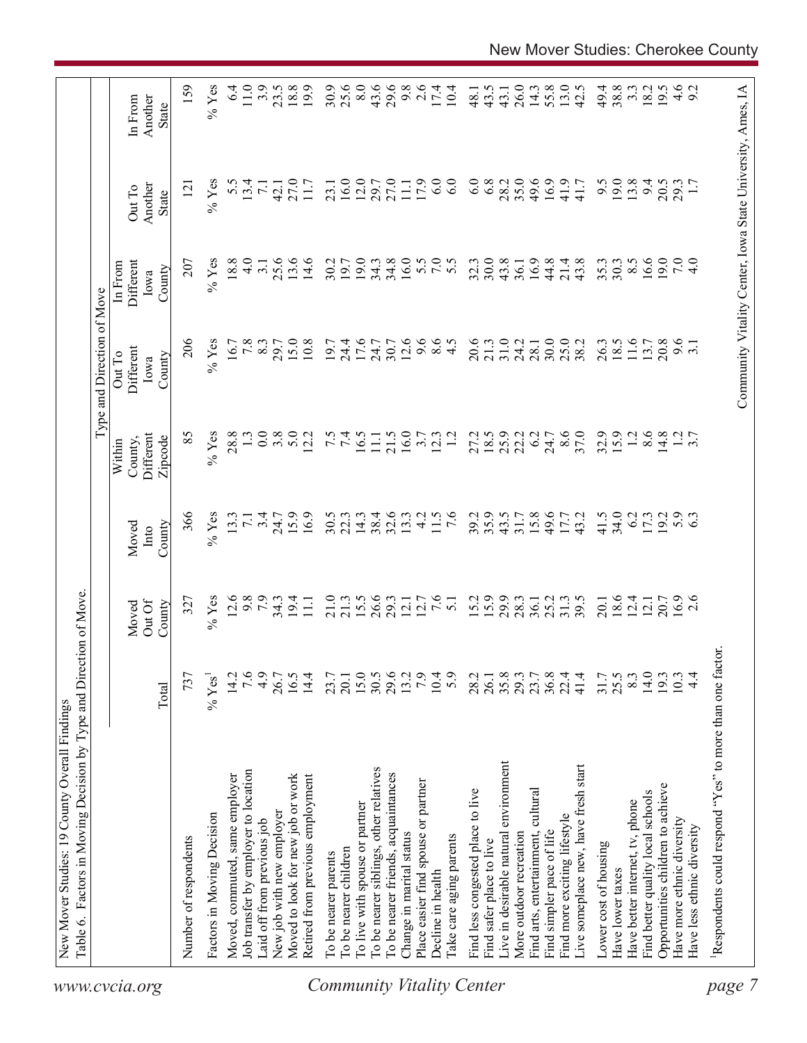|                                  | Table 6. Factors in Moving Decision by Type and Direction of Move. |                  |                           |                         |                                           | Type and Direction of Move            |                                        |                                                            |                                    |
|----------------------------------|--------------------------------------------------------------------|------------------|---------------------------|-------------------------|-------------------------------------------|---------------------------------------|----------------------------------------|------------------------------------------------------------|------------------------------------|
| www.cvcia.org                    |                                                                    | Total            | Out Of<br>County<br>Moved | County<br>Moved<br>Into | Different<br>Zipcode<br>County,<br>Within | Different<br>Out To<br>County<br>Iowa | Different<br>In From<br>County<br>Iowa | Another<br>Out To<br>State                                 | Another<br>In From<br><b>State</b> |
|                                  | Number of respondents                                              | 737              | 327                       | 366                     | 85                                        | 206                                   | 207                                    | $\overline{2}$                                             | 159                                |
|                                  | Factors in Moving Decision                                         | $\%$ Yes         | $%$ Yes                   | $%$ Yes                 | $%$ Yes                                   | $%$ Yes                               | $%$ Yes                                | $%$ Yes                                                    | $%$ Yes                            |
|                                  | Moved, commuted, same employer                                     | 14.2             | 12.6                      | 13.3                    | 28.8                                      | 16.7                                  | 18.8                                   | 5.5                                                        | 6.4                                |
|                                  | Job transfer by employer to location                               | 7.6              | 9.8                       | $\overline{7.1}$        |                                           | 7.8                                   | $\frac{0}{4}$                          | 13.4                                                       | 11.0                               |
|                                  | Laid off from previous job                                         | 4.9              | 7.9                       | 3.4                     | 0.0                                       | 8.3                                   | 3.1                                    | $\overline{71}$                                            | 3.9                                |
|                                  | New job with new employer                                          | 26.7             | $34.3$<br>19.4            | 24.7                    | 3.8                                       | 29.7                                  | 25.6                                   | 42.1                                                       | 23.5                               |
|                                  | Moved to look for new job or work                                  | 16.5             |                           | 15.9                    | 5.0                                       | 15.0                                  | 13.6                                   | 27.0                                                       | 18.8                               |
|                                  | Retired from previous employment                                   | 14.4             | $\Xi$                     | 16.9                    | 12.2                                      | 10.8                                  | 14.6                                   | 11.7                                                       | 19.9                               |
|                                  | To be nearer parents                                               | 23.7             | 21.0                      | 30.5                    |                                           | 19.7                                  | 30.2                                   | 23.1                                                       | 30.9                               |
|                                  | To be nearer children                                              | 20.1             | 21.3                      | 22.3                    | $7.\overline{5}$                          | 24.4                                  | 19.7                                   | 16.0                                                       | 25.6                               |
|                                  | To live with spouse or partner                                     |                  | 15.5                      | 14.3                    | 16.5                                      | 17.6                                  | 19.0                                   | 12.0                                                       | 8.0                                |
|                                  | To be nearer siblings, other relatives                             | $15.0$<br>$30.5$ | 26.6                      | 38.4                    | $\Xi$                                     | 24.7                                  | 34.3                                   | 29.7                                                       | 43.6                               |
|                                  | To be nearer friends, acquaintances                                | 29.6             | 29.3                      | 32.6                    | 21.5                                      | 30.7                                  | 34.8                                   | 27.0                                                       | 29.6                               |
|                                  | Change in marital status                                           | 13.2             | 12.1                      | 13.3                    | 16.0                                      | 12.6                                  | 16.0                                   | $\overline{111}$                                           | 9.8                                |
|                                  | Place easier find spouse or partner                                | 7.9              | 12.7                      | $\frac{1}{4}$           | 3.7                                       | 9.6                                   |                                        | 17.9                                                       | 2.6                                |
|                                  | Decline in health                                                  | 10.4             | 7.6                       | 11.5                    | 12.3                                      | $\frac{6}{4}$ .5                      | 5.0000                                 | 6.0                                                        | 17.4                               |
| <b>Community Vitality Center</b> | Take care aging parents                                            | 5.9              | $\overline{51}$           | $\overline{7.6}$        | $\overline{12}$                           |                                       |                                        | 6.0                                                        | 10.4                               |
|                                  | Find less congested place to live                                  | 28.2             | 15.2                      | 39.2                    | 27.2                                      | 20.6                                  | 32.3                                   | 6.0                                                        | 48.1                               |
|                                  | Find safer place to live                                           | 26.1             | 15.9                      | 35.9                    | 18.5                                      | 21.3                                  | 30.0                                   | 6.8                                                        | 43.5                               |
|                                  | Live in desirable natural environment                              | 35.8             | 29.9                      | 43.5                    | 25.9                                      | 31.0                                  | 43.8                                   | 28.2                                                       | 43.1                               |
|                                  | More outdoor recreation                                            | 29.3             | 28.3                      | 31.7                    | 22.2                                      | 24.2                                  | 36.1                                   | 35.0                                                       | 26.0                               |
|                                  | Find arts, entertainment, cultural                                 | 23.7             | 36.1                      | 15.8                    | 6.2                                       | 28.1                                  | 16.9                                   | 49.6                                                       | 14.3                               |
|                                  | Find simpler pace of life                                          | $36.8$<br>$22.4$ | 25.2                      | 49.6                    | 24.7                                      | 30.0                                  | 44.8                                   | 16.9                                                       | 55.8                               |
|                                  | Find more exciting lifestyle                                       |                  | 31.3                      | 17.7                    | 8.6                                       | 25.0                                  | 21.4                                   | 41.9                                                       | 13.0                               |
|                                  | Live someplace new, have fresh start                               | 41.4             | 39.5                      | 43.2                    | 37.0                                      | 38.2                                  | 43.8                                   | 41.7                                                       | 42.5                               |
|                                  | Lower cost of housing                                              | 31.7             | 20.1                      | 41.5                    | 32.9                                      | 26.3                                  | 35.3                                   | 9.5                                                        | 49.4                               |
|                                  | Have lower taxes                                                   | 25.5             | 18.6                      | 34.0                    | 15.9                                      | 18.5                                  | 30.3                                   | 19.0                                                       | 38.8                               |
|                                  | Have better internet, tv, phone                                    | 8.3              | 12.4                      | 6.2                     | 1.2                                       | 11.6                                  | $8.\overline{5}$                       | 13.8                                                       | $3.\overline{3}$                   |
|                                  | Find better quality local schools                                  | 14.0             | 12.1                      | 17.3                    | 8.6                                       | 13.7                                  | 16.6                                   | 94                                                         | 18.2                               |
|                                  | Opportunities children to achieve                                  | 193              | 20.7                      | 19.2                    | 14.8                                      | 20.8                                  | 19.0                                   | 20.5                                                       | 19.5                               |
|                                  | Have more ethnic diversity                                         | 10.3             | $16.9$<br>2.6             | 5.9                     |                                           | 9.6                                   | 7.0                                    | 29.3                                                       |                                    |
|                                  | Have less ethnic diversity                                         | $\frac{4}{4}$    |                           |                         | $\frac{1}{3}$ .7                          |                                       | $\frac{1}{4}$                          |                                                            | $4.6$<br>9.2                       |
| page                             | Respondents could respond "Yes" to more than one factor            |                  |                           |                         |                                           |                                       |                                        |                                                            |                                    |
|                                  |                                                                    |                  |                           |                         |                                           |                                       |                                        |                                                            |                                    |
|                                  |                                                                    |                  |                           |                         |                                           |                                       |                                        | Community Vitality Center, Iowa State University, Ames, IA |                                    |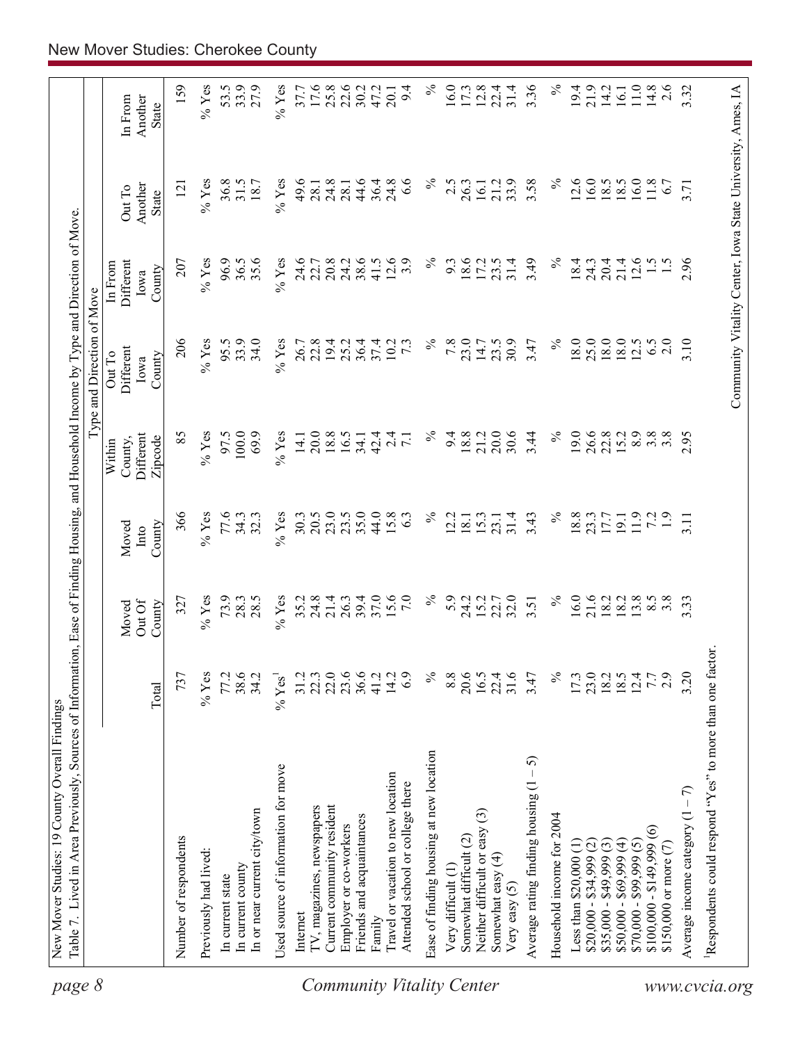| page 8                    |                                                                        |                      |                           |                         |                                           | Type and Direction of Move                                 |                                        |                            |                             |
|---------------------------|------------------------------------------------------------------------|----------------------|---------------------------|-------------------------|-------------------------------------------|------------------------------------------------------------|----------------------------------------|----------------------------|-----------------------------|
|                           |                                                                        | Total                | Out Of<br>County<br>Moved | County<br>Moved<br>Into | Different<br>Zipcode<br>County,<br>Within | Different<br>Out To<br>County<br>Iowa                      | Different<br>In From<br>County<br>Iowa | Another<br>Out To<br>State | In From<br>Another<br>State |
|                           | Number of respondents                                                  | 737                  | 327                       | 366                     | 85                                        | 206                                                        | 207                                    | $\overline{5}$             | 159                         |
|                           | Previously had lived:                                                  | $%$ Yes              | $%$ Yes                   | $%$ Yes                 | $%$ Yes                                   | $%$ Yes                                                    | $%$ Yes                                | $\%$ Yes                   | $%$ Yes                     |
|                           | In current state                                                       | 77.2                 | 73.9                      | 77.6                    | 97.5                                      | 95.5                                                       | 96.9                                   | 36.8                       | 53.5                        |
|                           | In current county                                                      | 38.6                 | 28.3                      | 34.3                    | 100.0                                     | 33.9                                                       | 36.5                                   | 31.5                       | 33.9                        |
|                           | In or near current city/town                                           | 34.2                 | 28.5                      | 32.3                    | 69.9                                      | 34.0                                                       | 35.6                                   | 18.7                       | 27.9                        |
|                           | Used source of information for move                                    | $%$ Yes <sup>1</sup> | $%$ Yes                   | $%$ Yes                 | $\%$ Yes                                  | $%$ Yes                                                    | $%$ Yes                                | $%$ Yes                    | $%$ Yes                     |
|                           | Internet                                                               | 31.2                 |                           | 30.3                    | 14.1                                      | 26.7                                                       | 24.6                                   | 49.6                       | 37.7                        |
|                           | TV, magazines, newspapers                                              | 22.3                 | $35.2$<br>$24.8$          | 20.5                    | 20.0                                      | 22.8                                                       | 22.7                                   | 28.1                       | 17.6                        |
|                           | Current community resident                                             | 22.0                 | 21.4                      | 23.0                    | 18.8                                      | 19.4                                                       | 20.8                                   | 24.8                       | $25.8$<br>$22.6$            |
|                           | Employer or co-workers                                                 | 23.6                 | 26.3                      | 23.5                    | 16.5                                      | 25.2                                                       | 24.2                                   | 28.                        |                             |
|                           | Friends and acquaintances                                              | 36.6                 | 39.4                      | 35.0                    | 34.1                                      | 36.4                                                       | 38.6                                   | 44.6                       | 30.2                        |
|                           | Family                                                                 | 41.2                 | 37.0                      | 44.0                    | 42.4                                      | 37.4                                                       | 41.5                                   | 36.4                       | 47.2                        |
| Community Vitality Center | Travel or vacation to new location<br>Attended school or college there | 14.2<br>6.9          | 15.6<br>7.0               | 15.8<br>63              | 2.4<br>$\overline{7.1}$                   | 10.2<br>$7\cdot3$                                          | 12.6<br>3.9                            | 24.8<br>6.6                | 9.4<br>20.1                 |
|                           | Ease of finding housing at new location                                | $\%$                 | $\%$                      | $\%$                    | $\%$                                      | $\%$                                                       | $\%$                                   | $\%$                       | $\%$                        |
|                           | Very difficult (1)                                                     | 8.8                  | 5.9                       | 12.2                    | 9.4                                       | 7.8                                                        | 9.3                                    | 2.5                        | 16.0                        |
|                           | Somewhat difficult (2)                                                 | 20.6                 | 24.2                      | 18.1                    | 18.8                                      | 23.0                                                       | 18.6                                   | 26.3                       | 17.3                        |
|                           | Neither difficult or easy (3)                                          | 16.5                 | 15.2                      | 15.3                    | 21.2                                      | 14.7                                                       | 17.2                                   | 16.1                       | 12.8                        |
|                           | Somewhat easy (4)<br>Very easy $(5)$                                   | 31.6<br>22.4         | 32.0<br>22.7              | 31.4<br>23.1            | 20.0<br>30.6                              | 30.9<br>23.5                                               | 31.4<br>23.5                           | 33.9<br>21.2               | 22.4<br>31.4                |
|                           | 5<br>Average rating finding housing (1                                 | 3.47                 | 3.51                      | 3.43                    | 3.44                                      | 3.47                                                       | 3.49                                   | 3.58                       | 3.36                        |
|                           | Household income for 2004                                              | $\%$                 | $\%$                      | $\%$                    | $\%$                                      | $\%$                                                       | $\%$                                   | $\%$                       | $\%$                        |
|                           | Less than $$20,000$ $(1)$                                              | 17.3                 | 16.0                      | 18.8                    | 19.0                                      | 18.0                                                       | 18.4                                   | 12.6                       | 19.4                        |
|                           | $$20,000 - $34,999 (2)$                                                | 23.0                 | 21.6                      | 23.3                    | 26.6                                      | 25.0                                                       | 24.3                                   | 16.0                       | 21.9                        |
|                           | $$35,000 - $49,999(3)$                                                 |                      | 18.2                      |                         | 22.8                                      | 18.0                                                       | 20.4                                   | 18.5                       | 14.2                        |
|                           | $$50,000 - $69,999 (4)$                                                | 18.5                 | 18.2                      | 19.1                    | 15.2                                      | 18.0                                                       | 21.4                                   | 18.5                       | 16.1                        |
|                           | $$70,000 - $99,999(5)$                                                 | 12.4                 | 13.8                      | 11.9                    | 8.9                                       | 12.5                                                       | 12.6                                   | 16.0                       | 11.0                        |
|                           | $\widehat{\circ}$<br>$$100,000 - $149,999$                             | 7.7                  | $8.\overline{5}$          | 72                      | $3.\overline{8}$                          | 6.5                                                        | $\frac{1}{5}$                          | 11.8                       | 14.8                        |
|                           | \$150,000 or more $(7)$                                                | 2.9                  | $3.\overline{8}$          | $\overline{1.9}$        | 3.8                                       | 2.0                                                        |                                        | 6.7                        | 2.6                         |
|                           | Average income category $(1 - 7)$                                      | 3.20                 | 3.33                      | 3.11                    | 2.95                                      | 3.10                                                       | 2.96                                   | 3.71                       | 3.32                        |
| www.cvcia.org             | Respondents could respond "Yes" to more than one factor.               |                      |                           |                         |                                           |                                                            |                                        |                            |                             |
|                           |                                                                        |                      |                           |                         |                                           | Community Vitality Center, Iowa State University, Ames, IA |                                        |                            |                             |
|                           |                                                                        |                      |                           |                         |                                           |                                                            |                                        |                            |                             |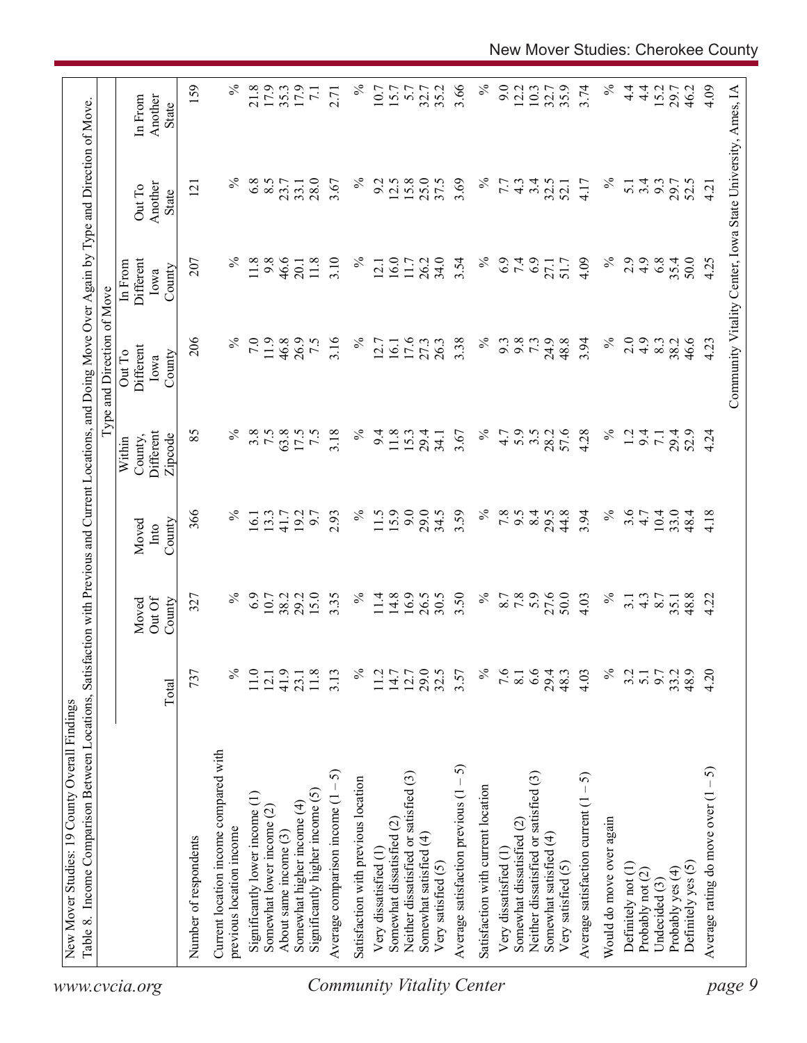| 159<br>3.66<br>$\%$<br>$\%$<br>$\%$<br>21.8<br>17.9<br>$\%$<br>9.0<br>3.74<br>$4\frac{4}{1}$<br>4.09<br>17.9<br>35.2<br>12.2<br>10.3<br>35.9<br>$\frac{4}{1}$<br>15.2<br>Community Vitality Center, Iowa State University, Ames, IA<br>35.3<br>10.7<br>15.7<br>5.7<br>32.7<br>32.7<br>29.7<br>46.2<br>$\overline{7.1}$<br>2.71<br>Another<br>In From<br>State<br>$\%$<br>$\%$<br>$\%$<br>6.8<br>8.5<br>28.0<br>$\%$<br>12.5<br>15.8<br>25.0<br>37.5<br>3.69<br>3.4<br>3.67<br>9.2<br>32.5<br>3.4<br>9.3<br>7.7<br>$4\degree$<br>4.17<br>$\overline{5.1}$<br>29.7<br>52.5<br>23.7<br>33.1<br>52.1<br>4.21<br>Another<br>$\overline{2}$<br>Out To<br>State<br>$\%$<br>$\%$<br>11.8<br>9.8<br>46.6<br>3.10<br>16.0<br>34.0<br>$\%$<br>6.9<br>7.4<br>6.9<br>2.9<br>4.9<br>6.8<br>35.4<br>50.0<br>207<br>11.8<br>$\%$<br>26.2<br>3.54<br>4.09<br>4.25<br>Different<br>11.7<br>51.7<br>27.1<br>20.1<br>12.1<br>In From<br>County<br>Iowa<br>206<br>$\%$<br>$\%$<br>$\%$<br>7.0<br>11.9<br>46.8<br>3.16<br>$\%$<br>3.38<br>9.8<br>73<br>24.9<br>48.8<br>3.94<br>2.0<br>$\ddot{4}$ .<br>26.9<br>7.5<br>17.6<br>27.3<br>26.3<br>9.3<br>8.3<br>38.2<br>46.6<br>4.23<br>12.7<br>16.1<br>Different<br>Out To<br>County<br>Iowa<br>$\%$<br>$\%$<br>5.9<br>57.6<br>$\%$<br>85<br>3.8<br>7.5<br>63.8<br>3.18<br>$\%$<br>3.5<br>4.28<br>Different<br>17.5<br>$\overline{7.5}$<br>9.4<br>11.8<br>15.3<br>3.67<br>4.7<br>28.2<br>1.2<br>9.4<br>29.4<br>29.4<br>52.9<br>4.24<br>34.1<br>$\overline{7}$ .<br>County,<br>Zipcode<br>Within<br>15.9<br>9.0<br>3.59<br>$\%$<br>$\%$<br>3.6<br>366<br>$\%$<br>$\%$<br>29.0<br>34.5<br>7.8<br>8.4<br>44.8<br>3.94<br>$10.4\,$<br>33.0<br>2.93<br>11.5<br>6.6<br>29.5<br>4.18<br>13.3<br>192<br>6.7<br>4.7<br>48.4<br>16.1<br>41.7<br>County<br>Moved<br>Into<br>6.9<br>15.0<br>16.9<br>26.5<br>$\%$<br>7.8<br>27.6<br>50.0<br>$\%$<br>$\%$<br>29.2<br>3.35<br>$\%$<br>14.8<br>30.5<br>3.50<br>8.7<br>48.8<br>10.7<br>38.2<br>11.4<br>$\frac{4.3}{8.7}$<br>4.22<br>327<br>4.03<br>3.1<br>35.1<br>Out Of<br>County<br>Moved<br>$\%$<br>29.0<br>$\%$<br>6.6<br>$\%$<br>4.20<br>737<br>℅<br>41.9<br>32.5<br>7.6<br>4.03<br>9.7<br>48.9<br>11.0<br>$11.8$<br>3.13<br>11.2<br>$14.7$<br>12.7<br>3.57<br>29.4<br>48.3<br>3.2<br>33.2<br>$\overline{5.1}$<br>12.1<br>23.1<br>$\overline{8.1}$<br>Total<br>Current location income compared with<br>Average satisfaction previous $(1 - 5)$<br>Average rating do move over $(1 - 5)$<br>5<br>Neither dissatisfied or satisfied (3)<br>Neither dissatisfied or satisfied (3)<br>Average satisfaction current $(1 - 5)$<br>Satisfaction with previous location<br>Satisfaction with current location<br>Significantly higher income (5)<br>Significantly lower income (1)<br>Average comparison income (1<br>Somewhat higher income (4)<br>Somewhat lower income (2)<br>Would do move over again<br>Somewhat dissatisfied (2)<br>Somewhat dissatisfied (2)<br>previous location income<br>About same income (3)<br>Somewhat satisfied (4)<br>Somewhat satisfied (4)<br>Number of respondents<br>Very dissatisfied (1<br>Very dissatisfied (1<br>Very satisfied (5)<br>Very satisfied (5)<br>Definitely yes (5)<br>Definitely not (1)<br>Probably yes (4)<br>Probably not (2)<br>Undecided (3)<br>www.cvcia.org | Table 8. Income Comparison Between Locations, | Satisfa |  | action with Previous and Current Locations, and Doing Move Over Again by Type and Direction of Move<br>Type and Direction of Move |  |  |
|----------------------------------------------------------------------------------------------------------------------------------------------------------------------------------------------------------------------------------------------------------------------------------------------------------------------------------------------------------------------------------------------------------------------------------------------------------------------------------------------------------------------------------------------------------------------------------------------------------------------------------------------------------------------------------------------------------------------------------------------------------------------------------------------------------------------------------------------------------------------------------------------------------------------------------------------------------------------------------------------------------------------------------------------------------------------------------------------------------------------------------------------------------------------------------------------------------------------------------------------------------------------------------------------------------------------------------------------------------------------------------------------------------------------------------------------------------------------------------------------------------------------------------------------------------------------------------------------------------------------------------------------------------------------------------------------------------------------------------------------------------------------------------------------------------------------------------------------------------------------------------------------------------------------------------------------------------------------------------------------------------------------------------------------------------------------------------------------------------------------------------------------------------------------------------------------------------------------------------------------------------------------------------------------------------------------------------------------------------------------------------------------------------------------------------------------------------------------------------------------------------------------------------------------------------------------------------------------------------------------------------------------------------------------------------------------------------------------------------------------------------------------------------------------------------------------------------------------------------------------------------------------------------------------------------------------------------------------------------------------------------------------------------------------------------------------------------------------------------------------------------------------------------------------------------------------------------------------------------------------------------------------------|-----------------------------------------------|---------|--|-----------------------------------------------------------------------------------------------------------------------------------|--|--|
|                                                                                                                                                                                                                                                                                                                                                                                                                                                                                                                                                                                                                                                                                                                                                                                                                                                                                                                                                                                                                                                                                                                                                                                                                                                                                                                                                                                                                                                                                                                                                                                                                                                                                                                                                                                                                                                                                                                                                                                                                                                                                                                                                                                                                                                                                                                                                                                                                                                                                                                                                                                                                                                                                                                                                                                                                                                                                                                                                                                                                                                                                                                                                                                                                                                                            |                                               |         |  |                                                                                                                                   |  |  |
|                                                                                                                                                                                                                                                                                                                                                                                                                                                                                                                                                                                                                                                                                                                                                                                                                                                                                                                                                                                                                                                                                                                                                                                                                                                                                                                                                                                                                                                                                                                                                                                                                                                                                                                                                                                                                                                                                                                                                                                                                                                                                                                                                                                                                                                                                                                                                                                                                                                                                                                                                                                                                                                                                                                                                                                                                                                                                                                                                                                                                                                                                                                                                                                                                                                                            |                                               |         |  |                                                                                                                                   |  |  |
| page 9<br><b>Community Vitality Center</b>                                                                                                                                                                                                                                                                                                                                                                                                                                                                                                                                                                                                                                                                                                                                                                                                                                                                                                                                                                                                                                                                                                                                                                                                                                                                                                                                                                                                                                                                                                                                                                                                                                                                                                                                                                                                                                                                                                                                                                                                                                                                                                                                                                                                                                                                                                                                                                                                                                                                                                                                                                                                                                                                                                                                                                                                                                                                                                                                                                                                                                                                                                                                                                                                                                 |                                               |         |  |                                                                                                                                   |  |  |
|                                                                                                                                                                                                                                                                                                                                                                                                                                                                                                                                                                                                                                                                                                                                                                                                                                                                                                                                                                                                                                                                                                                                                                                                                                                                                                                                                                                                                                                                                                                                                                                                                                                                                                                                                                                                                                                                                                                                                                                                                                                                                                                                                                                                                                                                                                                                                                                                                                                                                                                                                                                                                                                                                                                                                                                                                                                                                                                                                                                                                                                                                                                                                                                                                                                                            |                                               |         |  |                                                                                                                                   |  |  |
|                                                                                                                                                                                                                                                                                                                                                                                                                                                                                                                                                                                                                                                                                                                                                                                                                                                                                                                                                                                                                                                                                                                                                                                                                                                                                                                                                                                                                                                                                                                                                                                                                                                                                                                                                                                                                                                                                                                                                                                                                                                                                                                                                                                                                                                                                                                                                                                                                                                                                                                                                                                                                                                                                                                                                                                                                                                                                                                                                                                                                                                                                                                                                                                                                                                                            |                                               |         |  |                                                                                                                                   |  |  |
|                                                                                                                                                                                                                                                                                                                                                                                                                                                                                                                                                                                                                                                                                                                                                                                                                                                                                                                                                                                                                                                                                                                                                                                                                                                                                                                                                                                                                                                                                                                                                                                                                                                                                                                                                                                                                                                                                                                                                                                                                                                                                                                                                                                                                                                                                                                                                                                                                                                                                                                                                                                                                                                                                                                                                                                                                                                                                                                                                                                                                                                                                                                                                                                                                                                                            |                                               |         |  |                                                                                                                                   |  |  |
|                                                                                                                                                                                                                                                                                                                                                                                                                                                                                                                                                                                                                                                                                                                                                                                                                                                                                                                                                                                                                                                                                                                                                                                                                                                                                                                                                                                                                                                                                                                                                                                                                                                                                                                                                                                                                                                                                                                                                                                                                                                                                                                                                                                                                                                                                                                                                                                                                                                                                                                                                                                                                                                                                                                                                                                                                                                                                                                                                                                                                                                                                                                                                                                                                                                                            |                                               |         |  |                                                                                                                                   |  |  |
|                                                                                                                                                                                                                                                                                                                                                                                                                                                                                                                                                                                                                                                                                                                                                                                                                                                                                                                                                                                                                                                                                                                                                                                                                                                                                                                                                                                                                                                                                                                                                                                                                                                                                                                                                                                                                                                                                                                                                                                                                                                                                                                                                                                                                                                                                                                                                                                                                                                                                                                                                                                                                                                                                                                                                                                                                                                                                                                                                                                                                                                                                                                                                                                                                                                                            |                                               |         |  |                                                                                                                                   |  |  |
|                                                                                                                                                                                                                                                                                                                                                                                                                                                                                                                                                                                                                                                                                                                                                                                                                                                                                                                                                                                                                                                                                                                                                                                                                                                                                                                                                                                                                                                                                                                                                                                                                                                                                                                                                                                                                                                                                                                                                                                                                                                                                                                                                                                                                                                                                                                                                                                                                                                                                                                                                                                                                                                                                                                                                                                                                                                                                                                                                                                                                                                                                                                                                                                                                                                                            |                                               |         |  |                                                                                                                                   |  |  |
|                                                                                                                                                                                                                                                                                                                                                                                                                                                                                                                                                                                                                                                                                                                                                                                                                                                                                                                                                                                                                                                                                                                                                                                                                                                                                                                                                                                                                                                                                                                                                                                                                                                                                                                                                                                                                                                                                                                                                                                                                                                                                                                                                                                                                                                                                                                                                                                                                                                                                                                                                                                                                                                                                                                                                                                                                                                                                                                                                                                                                                                                                                                                                                                                                                                                            |                                               |         |  |                                                                                                                                   |  |  |
|                                                                                                                                                                                                                                                                                                                                                                                                                                                                                                                                                                                                                                                                                                                                                                                                                                                                                                                                                                                                                                                                                                                                                                                                                                                                                                                                                                                                                                                                                                                                                                                                                                                                                                                                                                                                                                                                                                                                                                                                                                                                                                                                                                                                                                                                                                                                                                                                                                                                                                                                                                                                                                                                                                                                                                                                                                                                                                                                                                                                                                                                                                                                                                                                                                                                            |                                               |         |  |                                                                                                                                   |  |  |
|                                                                                                                                                                                                                                                                                                                                                                                                                                                                                                                                                                                                                                                                                                                                                                                                                                                                                                                                                                                                                                                                                                                                                                                                                                                                                                                                                                                                                                                                                                                                                                                                                                                                                                                                                                                                                                                                                                                                                                                                                                                                                                                                                                                                                                                                                                                                                                                                                                                                                                                                                                                                                                                                                                                                                                                                                                                                                                                                                                                                                                                                                                                                                                                                                                                                            |                                               |         |  |                                                                                                                                   |  |  |
|                                                                                                                                                                                                                                                                                                                                                                                                                                                                                                                                                                                                                                                                                                                                                                                                                                                                                                                                                                                                                                                                                                                                                                                                                                                                                                                                                                                                                                                                                                                                                                                                                                                                                                                                                                                                                                                                                                                                                                                                                                                                                                                                                                                                                                                                                                                                                                                                                                                                                                                                                                                                                                                                                                                                                                                                                                                                                                                                                                                                                                                                                                                                                                                                                                                                            |                                               |         |  |                                                                                                                                   |  |  |
|                                                                                                                                                                                                                                                                                                                                                                                                                                                                                                                                                                                                                                                                                                                                                                                                                                                                                                                                                                                                                                                                                                                                                                                                                                                                                                                                                                                                                                                                                                                                                                                                                                                                                                                                                                                                                                                                                                                                                                                                                                                                                                                                                                                                                                                                                                                                                                                                                                                                                                                                                                                                                                                                                                                                                                                                                                                                                                                                                                                                                                                                                                                                                                                                                                                                            |                                               |         |  |                                                                                                                                   |  |  |
|                                                                                                                                                                                                                                                                                                                                                                                                                                                                                                                                                                                                                                                                                                                                                                                                                                                                                                                                                                                                                                                                                                                                                                                                                                                                                                                                                                                                                                                                                                                                                                                                                                                                                                                                                                                                                                                                                                                                                                                                                                                                                                                                                                                                                                                                                                                                                                                                                                                                                                                                                                                                                                                                                                                                                                                                                                                                                                                                                                                                                                                                                                                                                                                                                                                                            |                                               |         |  |                                                                                                                                   |  |  |
|                                                                                                                                                                                                                                                                                                                                                                                                                                                                                                                                                                                                                                                                                                                                                                                                                                                                                                                                                                                                                                                                                                                                                                                                                                                                                                                                                                                                                                                                                                                                                                                                                                                                                                                                                                                                                                                                                                                                                                                                                                                                                                                                                                                                                                                                                                                                                                                                                                                                                                                                                                                                                                                                                                                                                                                                                                                                                                                                                                                                                                                                                                                                                                                                                                                                            |                                               |         |  |                                                                                                                                   |  |  |
|                                                                                                                                                                                                                                                                                                                                                                                                                                                                                                                                                                                                                                                                                                                                                                                                                                                                                                                                                                                                                                                                                                                                                                                                                                                                                                                                                                                                                                                                                                                                                                                                                                                                                                                                                                                                                                                                                                                                                                                                                                                                                                                                                                                                                                                                                                                                                                                                                                                                                                                                                                                                                                                                                                                                                                                                                                                                                                                                                                                                                                                                                                                                                                                                                                                                            |                                               |         |  |                                                                                                                                   |  |  |
|                                                                                                                                                                                                                                                                                                                                                                                                                                                                                                                                                                                                                                                                                                                                                                                                                                                                                                                                                                                                                                                                                                                                                                                                                                                                                                                                                                                                                                                                                                                                                                                                                                                                                                                                                                                                                                                                                                                                                                                                                                                                                                                                                                                                                                                                                                                                                                                                                                                                                                                                                                                                                                                                                                                                                                                                                                                                                                                                                                                                                                                                                                                                                                                                                                                                            |                                               |         |  |                                                                                                                                   |  |  |
|                                                                                                                                                                                                                                                                                                                                                                                                                                                                                                                                                                                                                                                                                                                                                                                                                                                                                                                                                                                                                                                                                                                                                                                                                                                                                                                                                                                                                                                                                                                                                                                                                                                                                                                                                                                                                                                                                                                                                                                                                                                                                                                                                                                                                                                                                                                                                                                                                                                                                                                                                                                                                                                                                                                                                                                                                                                                                                                                                                                                                                                                                                                                                                                                                                                                            |                                               |         |  |                                                                                                                                   |  |  |
|                                                                                                                                                                                                                                                                                                                                                                                                                                                                                                                                                                                                                                                                                                                                                                                                                                                                                                                                                                                                                                                                                                                                                                                                                                                                                                                                                                                                                                                                                                                                                                                                                                                                                                                                                                                                                                                                                                                                                                                                                                                                                                                                                                                                                                                                                                                                                                                                                                                                                                                                                                                                                                                                                                                                                                                                                                                                                                                                                                                                                                                                                                                                                                                                                                                                            |                                               |         |  |                                                                                                                                   |  |  |
|                                                                                                                                                                                                                                                                                                                                                                                                                                                                                                                                                                                                                                                                                                                                                                                                                                                                                                                                                                                                                                                                                                                                                                                                                                                                                                                                                                                                                                                                                                                                                                                                                                                                                                                                                                                                                                                                                                                                                                                                                                                                                                                                                                                                                                                                                                                                                                                                                                                                                                                                                                                                                                                                                                                                                                                                                                                                                                                                                                                                                                                                                                                                                                                                                                                                            |                                               |         |  |                                                                                                                                   |  |  |
|                                                                                                                                                                                                                                                                                                                                                                                                                                                                                                                                                                                                                                                                                                                                                                                                                                                                                                                                                                                                                                                                                                                                                                                                                                                                                                                                                                                                                                                                                                                                                                                                                                                                                                                                                                                                                                                                                                                                                                                                                                                                                                                                                                                                                                                                                                                                                                                                                                                                                                                                                                                                                                                                                                                                                                                                                                                                                                                                                                                                                                                                                                                                                                                                                                                                            |                                               |         |  |                                                                                                                                   |  |  |
|                                                                                                                                                                                                                                                                                                                                                                                                                                                                                                                                                                                                                                                                                                                                                                                                                                                                                                                                                                                                                                                                                                                                                                                                                                                                                                                                                                                                                                                                                                                                                                                                                                                                                                                                                                                                                                                                                                                                                                                                                                                                                                                                                                                                                                                                                                                                                                                                                                                                                                                                                                                                                                                                                                                                                                                                                                                                                                                                                                                                                                                                                                                                                                                                                                                                            |                                               |         |  |                                                                                                                                   |  |  |
|                                                                                                                                                                                                                                                                                                                                                                                                                                                                                                                                                                                                                                                                                                                                                                                                                                                                                                                                                                                                                                                                                                                                                                                                                                                                                                                                                                                                                                                                                                                                                                                                                                                                                                                                                                                                                                                                                                                                                                                                                                                                                                                                                                                                                                                                                                                                                                                                                                                                                                                                                                                                                                                                                                                                                                                                                                                                                                                                                                                                                                                                                                                                                                                                                                                                            |                                               |         |  |                                                                                                                                   |  |  |
|                                                                                                                                                                                                                                                                                                                                                                                                                                                                                                                                                                                                                                                                                                                                                                                                                                                                                                                                                                                                                                                                                                                                                                                                                                                                                                                                                                                                                                                                                                                                                                                                                                                                                                                                                                                                                                                                                                                                                                                                                                                                                                                                                                                                                                                                                                                                                                                                                                                                                                                                                                                                                                                                                                                                                                                                                                                                                                                                                                                                                                                                                                                                                                                                                                                                            |                                               |         |  |                                                                                                                                   |  |  |
|                                                                                                                                                                                                                                                                                                                                                                                                                                                                                                                                                                                                                                                                                                                                                                                                                                                                                                                                                                                                                                                                                                                                                                                                                                                                                                                                                                                                                                                                                                                                                                                                                                                                                                                                                                                                                                                                                                                                                                                                                                                                                                                                                                                                                                                                                                                                                                                                                                                                                                                                                                                                                                                                                                                                                                                                                                                                                                                                                                                                                                                                                                                                                                                                                                                                            |                                               |         |  |                                                                                                                                   |  |  |
|                                                                                                                                                                                                                                                                                                                                                                                                                                                                                                                                                                                                                                                                                                                                                                                                                                                                                                                                                                                                                                                                                                                                                                                                                                                                                                                                                                                                                                                                                                                                                                                                                                                                                                                                                                                                                                                                                                                                                                                                                                                                                                                                                                                                                                                                                                                                                                                                                                                                                                                                                                                                                                                                                                                                                                                                                                                                                                                                                                                                                                                                                                                                                                                                                                                                            |                                               |         |  |                                                                                                                                   |  |  |
|                                                                                                                                                                                                                                                                                                                                                                                                                                                                                                                                                                                                                                                                                                                                                                                                                                                                                                                                                                                                                                                                                                                                                                                                                                                                                                                                                                                                                                                                                                                                                                                                                                                                                                                                                                                                                                                                                                                                                                                                                                                                                                                                                                                                                                                                                                                                                                                                                                                                                                                                                                                                                                                                                                                                                                                                                                                                                                                                                                                                                                                                                                                                                                                                                                                                            |                                               |         |  |                                                                                                                                   |  |  |
|                                                                                                                                                                                                                                                                                                                                                                                                                                                                                                                                                                                                                                                                                                                                                                                                                                                                                                                                                                                                                                                                                                                                                                                                                                                                                                                                                                                                                                                                                                                                                                                                                                                                                                                                                                                                                                                                                                                                                                                                                                                                                                                                                                                                                                                                                                                                                                                                                                                                                                                                                                                                                                                                                                                                                                                                                                                                                                                                                                                                                                                                                                                                                                                                                                                                            |                                               |         |  |                                                                                                                                   |  |  |
|                                                                                                                                                                                                                                                                                                                                                                                                                                                                                                                                                                                                                                                                                                                                                                                                                                                                                                                                                                                                                                                                                                                                                                                                                                                                                                                                                                                                                                                                                                                                                                                                                                                                                                                                                                                                                                                                                                                                                                                                                                                                                                                                                                                                                                                                                                                                                                                                                                                                                                                                                                                                                                                                                                                                                                                                                                                                                                                                                                                                                                                                                                                                                                                                                                                                            |                                               |         |  |                                                                                                                                   |  |  |
|                                                                                                                                                                                                                                                                                                                                                                                                                                                                                                                                                                                                                                                                                                                                                                                                                                                                                                                                                                                                                                                                                                                                                                                                                                                                                                                                                                                                                                                                                                                                                                                                                                                                                                                                                                                                                                                                                                                                                                                                                                                                                                                                                                                                                                                                                                                                                                                                                                                                                                                                                                                                                                                                                                                                                                                                                                                                                                                                                                                                                                                                                                                                                                                                                                                                            |                                               |         |  |                                                                                                                                   |  |  |